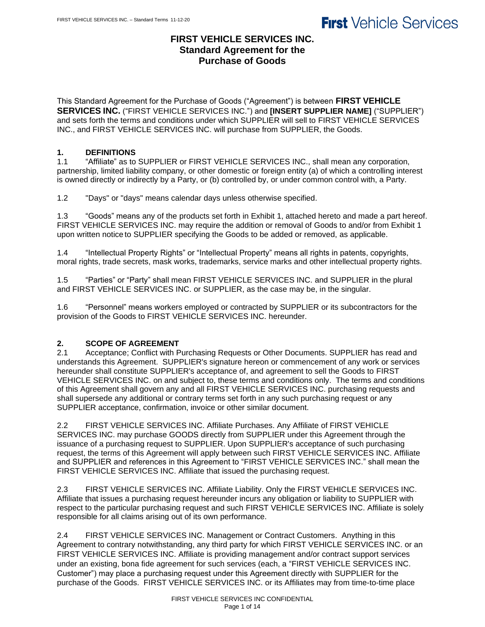## **FIRST VEHICLE SERVICES INC. Standard Agreement for the Purchase of Goods**

This Standard Agreement for the Purchase of Goods ("Agreement") is between **FIRST VEHICLE SERVICES INC.** ("FIRST VEHICLE SERVICES INC.") and **[INSERT SUPPLIER NAME]** ("SUPPLIER") and sets forth the terms and conditions under which SUPPLIER will sell to FIRST VEHICLE SERVICES INC., and FIRST VEHICLE SERVICES INC. will purchase from SUPPLIER, the Goods.

### **1. DEFINITIONS**

1.1 "Affiliate" as to SUPPLIER or FIRST VEHICLE SERVICES INC., shall mean any corporation, partnership, limited liability company, or other domestic or foreign entity (a) of which a controlling interest is owned directly or indirectly by a Party, or (b) controlled by, or under common control with, a Party.

1.2 "Days" or "days" means calendar days unless otherwise specified.

1.3 "Goods" means any of the products set forth in Exhibit 1, attached hereto and made a part hereof. FIRST VEHICLE SERVICES INC. may require the addition or removal of Goods to and/or from Exhibit 1 upon written notice to SUPPLIER specifying the Goods to be added or removed, as applicable.

1.4 "Intellectual Property Rights" or "Intellectual Property" means all rights in patents, copyrights, moral rights, trade secrets, mask works, trademarks, service marks and other intellectual property rights.

1.5 "Parties" or "Party" shall mean FIRST VEHICLE SERVICES INC. and SUPPLIER in the plural and FIRST VEHICLE SERVICES INC. or SUPPLIER, as the case may be, in the singular.

1.6 "Personnel" means workers employed or contracted by SUPPLIER or its subcontractors for the provision of the Goods to FIRST VEHICLE SERVICES INC. hereunder.

### **2. SCOPE OF AGREEMENT**

2.1 Acceptance; Conflict with Purchasing Requests or Other Documents. SUPPLIER has read and understands this Agreement. SUPPLIER's signature hereon or commencement of any work or services hereunder shall constitute SUPPLIER's acceptance of, and agreement to sell the Goods to FIRST VEHICLE SERVICES INC. on and subject to, these terms and conditions only. The terms and conditions of this Agreement shall govern any and all FIRST VEHICLE SERVICES INC. purchasing requests and shall supersede any additional or contrary terms set forth in any such purchasing request or any SUPPLIER acceptance, confirmation, invoice or other similar document.

2.2 FIRST VEHICLE SERVICES INC. Affiliate Purchases. Any Affiliate of FIRST VEHICLE SERVICES INC. may purchase GOODS directly from SUPPLIER under this Agreement through the issuance of a purchasing request to SUPPLIER. Upon SUPPLIER's acceptance of such purchasing request, the terms of this Agreement will apply between such FIRST VEHICLE SERVICES INC. Affiliate and SUPPLIER and references in this Agreement to "FIRST VEHICLE SERVICES INC." shall mean the FIRST VEHICLE SERVICES INC. Affiliate that issued the purchasing request.

2.3 FIRST VEHICLE SERVICES INC. Affiliate Liability. Only the FIRST VEHICLE SERVICES INC. Affiliate that issues a purchasing request hereunder incurs any obligation or liability to SUPPLIER with respect to the particular purchasing request and such FIRST VEHICLE SERVICES INC. Affiliate is solely responsible for all claims arising out of its own performance.

2.4 FIRST VEHICLE SERVICES INC. Management or Contract Customers. Anything in this Agreement to contrary notwithstanding, any third party for which FIRST VEHICLE SERVICES INC. or an FIRST VEHICLE SERVICES INC. Affiliate is providing management and/or contract support services under an existing, bona fide agreement for such services (each, a "FIRST VEHICLE SERVICES INC. Customer") may place a purchasing request under this Agreement directly with SUPPLIER for the purchase of the Goods. FIRST VEHICLE SERVICES INC. or its Affiliates may from time-to-time place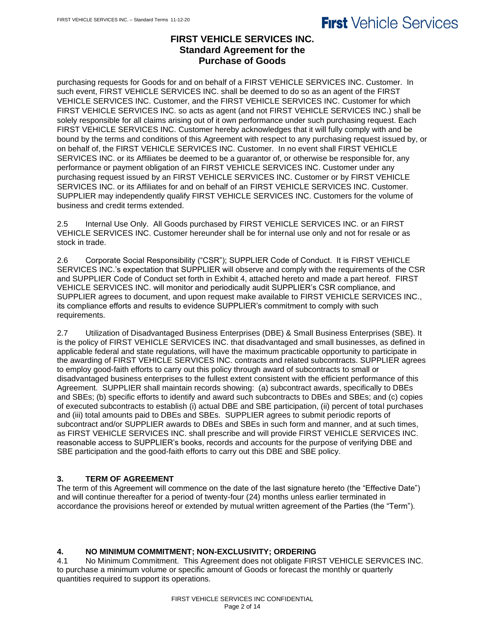## **FIRST VEHICLE SERVICES INC. Standard Agreement for the Purchase of Goods**

purchasing requests for Goods for and on behalf of a FIRST VEHICLE SERVICES INC. Customer. In such event, FIRST VEHICLE SERVICES INC. shall be deemed to do so as an agent of the FIRST VEHICLE SERVICES INC. Customer, and the FIRST VEHICLE SERVICES INC. Customer for which FIRST VEHICLE SERVICES INC. so acts as agent (and not FIRST VEHICLE SERVICES INC.) shall be solely responsible for all claims arising out of it own performance under such purchasing request. Each FIRST VEHICLE SERVICES INC. Customer hereby acknowledges that it will fully comply with and be bound by the terms and conditions of this Agreement with respect to any purchasing request issued by, or on behalf of, the FIRST VEHICLE SERVICES INC. Customer. In no event shall FIRST VEHICLE SERVICES INC. or its Affiliates be deemed to be a guarantor of, or otherwise be responsible for, any performance or payment obligation of an FIRST VEHICLE SERVICES INC. Customer under any purchasing request issued by an FIRST VEHICLE SERVICES INC. Customer or by FIRST VEHICLE SERVICES INC. or its Affiliates for and on behalf of an FIRST VEHICLE SERVICES INC. Customer. SUPPLIER may independently qualify FIRST VEHICLE SERVICES INC. Customers for the volume of business and credit terms extended.

2.5 Internal Use Only. All Goods purchased by FIRST VEHICLE SERVICES INC. or an FIRST VEHICLE SERVICES INC. Customer hereunder shall be for internal use only and not for resale or as stock in trade.

2.6 Corporate Social Responsibility ("CSR"); SUPPLIER Code of Conduct. It is FIRST VEHICLE SERVICES INC.'s expectation that SUPPLIER will observe and comply with the requirements of the CSR and SUPPLIER Code of Conduct set forth in Exhibit 4, attached hereto and made a part hereof. FIRST VEHICLE SERVICES INC. will monitor and periodically audit SUPPLIER's CSR compliance, and SUPPLIER agrees to document, and upon request make available to FIRST VEHICLE SERVICES INC., its compliance efforts and results to evidence SUPPLIER's commitment to comply with such requirements.

2.7 Utilization of Disadvantaged Business Enterprises (DBE) & Small Business Enterprises (SBE). It is the policy of FIRST VEHICLE SERVICES INC. that disadvantaged and small businesses, as defined in applicable federal and state regulations, will have the maximum practicable opportunity to participate in the awarding of FIRST VEHICLE SERVICES INC. contracts and related subcontracts. SUPPLIER agrees to employ good-faith efforts to carry out this policy through award of subcontracts to small or disadvantaged business enterprises to the fullest extent consistent with the efficient performance of this Agreement. SUPPLIER shall maintain records showing: (a) subcontract awards, specifically to DBEs and SBEs; (b) specific efforts to identify and award such subcontracts to DBEs and SBEs; and (c) copies of executed subcontracts to establish (i) actual DBE and SBE participation, (ii) percent of total purchases and (iii) total amounts paid to DBEs and SBEs. SUPPLIER agrees to submit periodic reports of subcontract and/or SUPPLIER awards to DBEs and SBEs in such form and manner, and at such times, as FIRST VEHICLE SERVICES INC. shall prescribe and will provide FIRST VEHICLE SERVICES INC. reasonable access to SUPPLIER's books, records and accounts for the purpose of verifying DBE and SBE participation and the good-faith efforts to carry out this DBE and SBE policy.

## **3. TERM OF AGREEMENT**

The term of this Agreement will commence on the date of the last signature hereto (the "Effective Date") and will continue thereafter for a period of twenty-four (24) months unless earlier terminated in accordance the provisions hereof or extended by mutual written agreement of the Parties (the "Term").

## **4. NO MINIMUM COMMITMENT; NON-EXCLUSIVITY; ORDERING**

4.1 No Minimum Commitment. This Agreement does not obligate FIRST VEHICLE SERVICES INC. to purchase a minimum volume or specific amount of Goods or forecast the monthly or quarterly quantities required to support its operations.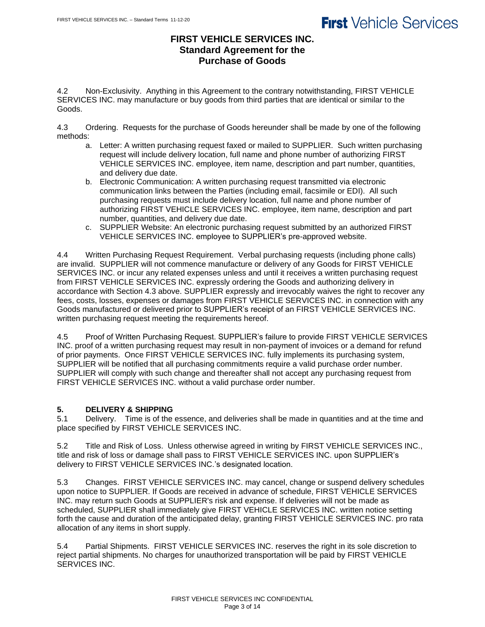## **FIRST VEHICLE SERVICES INC. Standard Agreement for the Purchase of Goods**

4.2 Non-Exclusivity. Anything in this Agreement to the contrary notwithstanding, FIRST VEHICLE SERVICES INC. may manufacture or buy goods from third parties that are identical or similar to the Goods.

4.3 Ordering. Requests for the purchase of Goods hereunder shall be made by one of the following methods:

- a. Letter: A written purchasing request faxed or mailed to SUPPLIER. Such written purchasing request will include delivery location, full name and phone number of authorizing FIRST VEHICLE SERVICES INC. employee, item name, description and part number, quantities, and delivery due date.
- b. Electronic Communication: A written purchasing request transmitted via electronic communication links between the Parties (including email, facsimile or EDI). All such purchasing requests must include delivery location, full name and phone number of authorizing FIRST VEHICLE SERVICES INC. employee, item name, description and part number, quantities, and delivery due date.
- c. SUPPLIER Website: An electronic purchasing request submitted by an authorized FIRST VEHICLE SERVICES INC. employee to SUPPLIER's pre-approved website.

4.4 Written Purchasing Request Requirement. Verbal purchasing requests (including phone calls) are invalid. SUPPLIER will not commence manufacture or delivery of any Goods for FIRST VEHICLE SERVICES INC. or incur any related expenses unless and until it receives a written purchasing request from FIRST VEHICLE SERVICES INC. expressly ordering the Goods and authorizing delivery in accordance with Section 4.3 above. SUPPLIER expressly and irrevocably waives the right to recover any fees, costs, losses, expenses or damages from FIRST VEHICLE SERVICES INC. in connection with any Goods manufactured or delivered prior to SUPPLIER's receipt of an FIRST VEHICLE SERVICES INC. written purchasing request meeting the requirements hereof.

4.5 Proof of Written Purchasing Request. SUPPLIER's failure to provide FIRST VEHICLE SERVICES INC. proof of a written purchasing request may result in non-payment of invoices or a demand for refund of prior payments. Once FIRST VEHICLE SERVICES INC. fully implements its purchasing system, SUPPLIER will be notified that all purchasing commitments require a valid purchase order number. SUPPLIER will comply with such change and thereafter shall not accept any purchasing request from FIRST VEHICLE SERVICES INC. without a valid purchase order number.

## **5. DELIVERY & SHIPPING**

5.1 Delivery. Time is of the essence, and deliveries shall be made in quantities and at the time and place specified by FIRST VEHICLE SERVICES INC.

5.2 Title and Risk of Loss. Unless otherwise agreed in writing by FIRST VEHICLE SERVICES INC., title and risk of loss or damage shall pass to FIRST VEHICLE SERVICES INC. upon SUPPLIER's delivery to FIRST VEHICLE SERVICES INC.'s designated location.

5.3 Changes. FIRST VEHICLE SERVICES INC. may cancel, change or suspend delivery schedules upon notice to SUPPLIER. If Goods are received in advance of schedule, FIRST VEHICLE SERVICES INC. may return such Goods at SUPPLIER's risk and expense. If deliveries will not be made as scheduled, SUPPLIER shall immediately give FIRST VEHICLE SERVICES INC. written notice setting forth the cause and duration of the anticipated delay, granting FIRST VEHICLE SERVICES INC. pro rata allocation of any items in short supply.

5.4 Partial Shipments. FIRST VEHICLE SERVICES INC. reserves the right in its sole discretion to reject partial shipments. No charges for unauthorized transportation will be paid by FIRST VEHICLE SERVICES INC.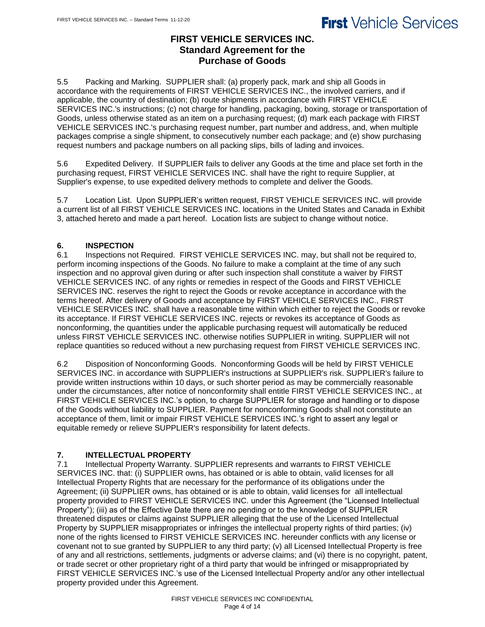## **FIRST VEHICLE SERVICES INC. Standard Agreement for the Purchase of Goods**

5.5 Packing and Marking. SUPPLIER shall: (a) properly pack, mark and ship all Goods in accordance with the requirements of FIRST VEHICLE SERVICES INC., the involved carriers, and if applicable, the country of destination; (b) route shipments in accordance with FIRST VEHICLE SERVICES INC.'s instructions; (c) not charge for handling, packaging, boxing, storage or transportation of Goods, unless otherwise stated as an item on a purchasing request; (d) mark each package with FIRST VEHICLE SERVICES INC.'s purchasing request number, part number and address, and, when multiple packages comprise a single shipment, to consecutively number each package; and (e) show purchasing request numbers and package numbers on all packing slips, bills of lading and invoices.

5.6 Expedited Delivery. If SUPPLIER fails to deliver any Goods at the time and place set forth in the purchasing request, FIRST VEHICLE SERVICES INC. shall have the right to require Supplier, at Supplier's expense, to use expedited delivery methods to complete and deliver the Goods.

5.7 Location List. Upon SUPPLIER's written request, FIRST VEHICLE SERVICES INC. will provide a current list of all FIRST VEHICLE SERVICES INC. locations in the United States and Canada in Exhibit 3, attached hereto and made a part hereof. Location lists are subject to change without notice.

## **6. INSPECTION**

6.1 Inspections not Required. FIRST VEHICLE SERVICES INC. may, but shall not be required to, perform incoming inspections of the Goods. No failure to make a complaint at the time of any such inspection and no approval given during or after such inspection shall constitute a waiver by FIRST VEHICLE SERVICES INC. of any rights or remedies in respect of the Goods and FIRST VEHICLE SERVICES INC. reserves the right to reject the Goods or revoke acceptance in accordance with the terms hereof. After delivery of Goods and acceptance by FIRST VEHICLE SERVICES INC., FIRST VEHICLE SERVICES INC. shall have a reasonable time within which either to reject the Goods or revoke its acceptance. If FIRST VEHICLE SERVICES INC. rejects or revokes its acceptance of Goods as nonconforming, the quantities under the applicable purchasing request will automatically be reduced unless FIRST VEHICLE SERVICES INC. otherwise notifies SUPPLIER in writing. SUPPLIER will not replace quantities so reduced without a new purchasing request from FIRST VEHICLE SERVICES INC.

6.2 Disposition of Nonconforming Goods. Nonconforming Goods will be held by FIRST VEHICLE SERVICES INC. in accordance with SUPPLIER's instructions at SUPPLIER's risk. SUPPLIER's failure to provide written instructions within 10 days, or such shorter period as may be commercially reasonable under the circumstances, after notice of nonconformity shall entitle FIRST VEHICLE SERVICES INC., at FIRST VEHICLE SERVICES INC.'s option, to charge SUPPLIER for storage and handling or to dispose of the Goods without liability to SUPPLIER. Payment for nonconforming Goods shall not constitute an acceptance of them, limit or impair FIRST VEHICLE SERVICES INC.'s right to assert any legal or equitable remedy or relieve SUPPLIER's responsibility for latent defects.

## **7. INTELLECTUAL PROPERTY**

7.1 Intellectual Property Warranty. SUPPLIER represents and warrants to FIRST VEHICLE SERVICES INC. that: (i) SUPPLIER owns, has obtained or is able to obtain, valid licenses for all Intellectual Property Rights that are necessary for the performance of its obligations under the Agreement; (ii) SUPPLIER owns, has obtained or is able to obtain, valid licenses for all intellectual property provided to FIRST VEHICLE SERVICES INC. under this Agreement (the "Licensed Intellectual Property"); (iii) as of the Effective Date there are no pending or to the knowledge of SUPPLIER threatened disputes or claims against SUPPLIER alleging that the use of the Licensed Intellectual Property by SUPPLIER misappropriates or infringes the intellectual property rights of third parties; (iv) none of the rights licensed to FIRST VEHICLE SERVICES INC. hereunder conflicts with any license or covenant not to sue granted by SUPPLIER to any third party; (v) all Licensed Intellectual Property is free of any and all restrictions, settlements, judgments or adverse claims; and (vi) there is no copyright, patent, or trade secret or other proprietary right of a third party that would be infringed or misappropriated by FIRST VEHICLE SERVICES INC.'s use of the Licensed Intellectual Property and/or any other intellectual property provided under this Agreement.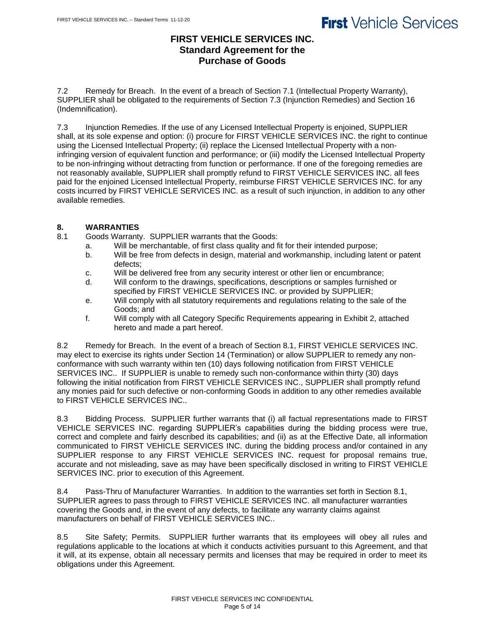## **FIRST VEHICLE SERVICES INC. Standard Agreement for the Purchase of Goods**

7.2 Remedy for Breach. In the event of a breach of Section 7.1 (Intellectual Property Warranty), SUPPLIER shall be obligated to the requirements of Section 7.3 (Injunction Remedies) and Section 16 (Indemnification).

7.3 Injunction Remedies. If the use of any Licensed Intellectual Property is enjoined, SUPPLIER shall, at its sole expense and option: (i) procure for FIRST VEHICLE SERVICES INC. the right to continue using the Licensed Intellectual Property; (ii) replace the Licensed Intellectual Property with a noninfringing version of equivalent function and performance; or (iii) modify the Licensed Intellectual Property to be non-infringing without detracting from function or performance. If one of the foregoing remedies are not reasonably available, SUPPLIER shall promptly refund to FIRST VEHICLE SERVICES INC. all fees paid for the enjoined Licensed Intellectual Property, reimburse FIRST VEHICLE SERVICES INC. for any costs incurred by FIRST VEHICLE SERVICES INC. as a result of such injunction, in addition to any other available remedies.

#### **8. WARRANTIES**

8.1 Goods Warranty. SUPPLIER warrants that the Goods:

- a. Will be merchantable, of first class quality and fit for their intended purpose;
- b. Will be free from defects in design, material and workmanship, including latent or patent defects;
- c. Will be delivered free from any security interest or other lien or encumbrance;
- d. Will conform to the drawings, specifications, descriptions or samples furnished or specified by FIRST VEHICLE SERVICES INC. or provided by SUPPLIER;
- e. Will comply with all statutory requirements and regulations relating to the sale of the Goods; and
- f. Will comply with all Category Specific Requirements appearing in Exhibit 2, attached hereto and made a part hereof.

8.2 Remedy for Breach. In the event of a breach of Section 8.1, FIRST VEHICLE SERVICES INC. may elect to exercise its rights under Section 14 (Termination) or allow SUPPLIER to remedy any nonconformance with such warranty within ten (10) days following notification from FIRST VEHICLE SERVICES INC.. If SUPPLIER is unable to remedy such non-conformance within thirty (30) days following the initial notification from FIRST VEHICLE SERVICES INC., SUPPLIER shall promptly refund any monies paid for such defective or non-conforming Goods in addition to any other remedies available to FIRST VEHICLE SERVICES INC..

8.3 Bidding Process. SUPPLIER further warrants that (i) all factual representations made to FIRST VEHICLE SERVICES INC. regarding SUPPLIER's capabilities during the bidding process were true, correct and complete and fairly described its capabilities; and (ii) as at the Effective Date, all information communicated to FIRST VEHICLE SERVICES INC. during the bidding process and/or contained in any SUPPLIER response to any FIRST VEHICLE SERVICES INC. request for proposal remains true, accurate and not misleading, save as may have been specifically disclosed in writing to FIRST VEHICLE SERVICES INC. prior to execution of this Agreement.

8.4 Pass-Thru of Manufacturer Warranties. In addition to the warranties set forth in Section 8.1, SUPPLIER agrees to pass through to FIRST VEHICLE SERVICES INC. all manufacturer warranties covering the Goods and, in the event of any defects, to facilitate any warranty claims against manufacturers on behalf of FIRST VEHICLE SERVICES INC..

8.5 Site Safety; Permits. SUPPLIER further warrants that its employees will obey all rules and regulations applicable to the locations at which it conducts activities pursuant to this Agreement, and that it will, at its expense, obtain all necessary permits and licenses that may be required in order to meet its obligations under this Agreement.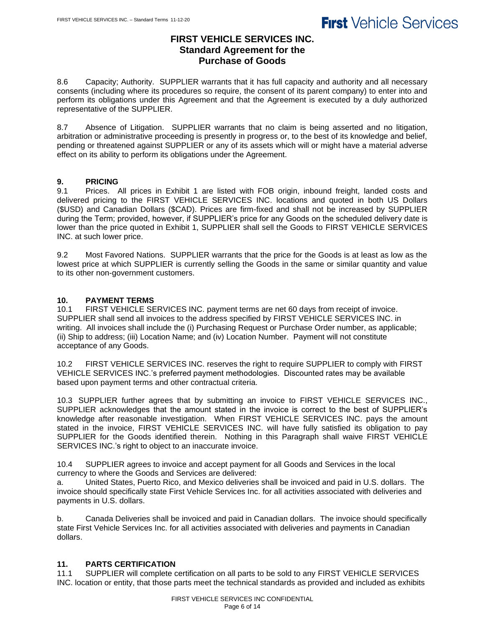### **FIRST VEHICLE SERVICES INC. Standard Agreement for the Purchase of Goods**

8.6 Capacity; Authority. SUPPLIER warrants that it has full capacity and authority and all necessary consents (including where its procedures so require, the consent of its parent company) to enter into and perform its obligations under this Agreement and that the Agreement is executed by a duly authorized representative of the SUPPLIER.

8.7 Absence of Litigation. SUPPLIER warrants that no claim is being asserted and no litigation, arbitration or administrative proceeding is presently in progress or, to the best of its knowledge and belief, pending or threatened against SUPPLIER or any of its assets which will or might have a material adverse effect on its ability to perform its obligations under the Agreement.

### **9. PRICING**

9.1 Prices. All prices in Exhibit 1 are listed with FOB origin, inbound freight, landed costs and delivered pricing to the FIRST VEHICLE SERVICES INC. locations and quoted in both US Dollars (\$USD) and Canadian Dollars (\$CAD). Prices are firm-fixed and shall not be increased by SUPPLIER during the Term; provided, however, if SUPPLIER's price for any Goods on the scheduled delivery date is lower than the price quoted in Exhibit 1, SUPPLIER shall sell the Goods to FIRST VEHICLE SERVICES INC. at such lower price.

9.2 Most Favored Nations. SUPPLIER warrants that the price for the Goods is at least as low as the lowest price at which SUPPLIER is currently selling the Goods in the same or similar quantity and value to its other non-government customers.

### **10. PAYMENT TERMS**

10.1 FIRST VEHICLE SERVICES INC. payment terms are net 60 days from receipt of invoice. SUPPLIER shall send all invoices to the address specified by FIRST VEHICLE SERVICES INC. in writing. All invoices shall include the (i) Purchasing Request or Purchase Order number, as applicable; (ii) Ship to address; (iii) Location Name; and (iv) Location Number. Payment will not constitute acceptance of any Goods.

10.2 FIRST VEHICLE SERVICES INC. reserves the right to require SUPPLIER to comply with FIRST VEHICLE SERVICES INC.'s preferred payment methodologies. Discounted rates may be available based upon payment terms and other contractual criteria.

10.3 SUPPLIER further agrees that by submitting an invoice to FIRST VEHICLE SERVICES INC., SUPPLIER acknowledges that the amount stated in the invoice is correct to the best of SUPPLIER's knowledge after reasonable investigation. When FIRST VEHICLE SERVICES INC. pays the amount stated in the invoice, FIRST VEHICLE SERVICES INC. will have fully satisfied its obligation to pay SUPPLIER for the Goods identified therein. Nothing in this Paragraph shall waive FIRST VEHICLE SERVICES INC.'s right to object to an inaccurate invoice.

10.4 SUPPLIER agrees to invoice and accept payment for all Goods and Services in the local currency to where the Goods and Services are delivered:

a. United States, Puerto Rico, and Mexico deliveries shall be invoiced and paid in U.S. dollars. The invoice should specifically state First Vehicle Services Inc. for all activities associated with deliveries and payments in U.S. dollars.

b. Canada Deliveries shall be invoiced and paid in Canadian dollars. The invoice should specifically state First Vehicle Services Inc. for all activities associated with deliveries and payments in Canadian dollars.

### **11. PARTS CERTIFICATION**

11.1 SUPPLIER will complete certification on all parts to be sold to any FIRST VEHICLE SERVICES INC. location or entity, that those parts meet the technical standards as provided and included as exhibits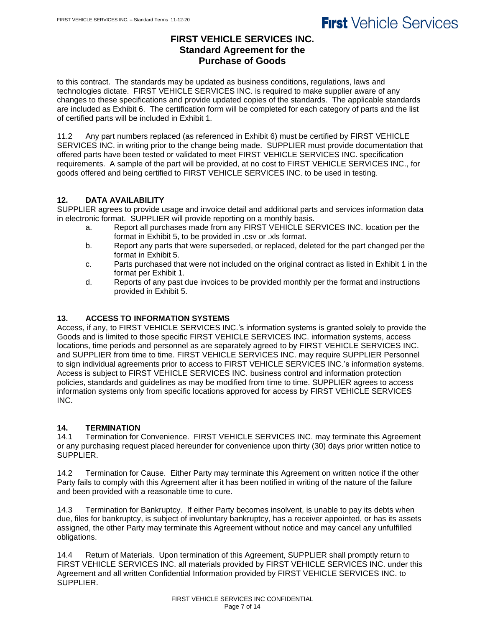## **FIRST VEHICLE SERVICES INC. Standard Agreement for the Purchase of Goods**

to this contract. The standards may be updated as business conditions, regulations, laws and technologies dictate. FIRST VEHICLE SERVICES INC. is required to make supplier aware of any changes to these specifications and provide updated copies of the standards. The applicable standards are included as Exhibit 6. The certification form will be completed for each category of parts and the list of certified parts will be included in Exhibit 1.

11.2 Any part numbers replaced (as referenced in Exhibit 6) must be certified by FIRST VEHICLE SERVICES INC. in writing prior to the change being made. SUPPLIER must provide documentation that offered parts have been tested or validated to meet FIRST VEHICLE SERVICES INC. specification requirements. A sample of the part will be provided, at no cost to FIRST VEHICLE SERVICES INC., for goods offered and being certified to FIRST VEHICLE SERVICES INC. to be used in testing.

## **12. DATA AVAILABILITY**

SUPPLIER agrees to provide usage and invoice detail and additional parts and services information data in electronic format. SUPPLIER will provide reporting on a monthly basis.

- a. Report all purchases made from any FIRST VEHICLE SERVICES INC. location per the format in Exhibit 5, to be provided in .csv or .xls format.
- b. Report any parts that were superseded, or replaced, deleted for the part changed per the format in Exhibit 5.
- c. Parts purchased that were not included on the original contract as listed in Exhibit 1 in the format per Exhibit 1.
- d. Reports of any past due invoices to be provided monthly per the format and instructions provided in Exhibit 5.

## **13. ACCESS TO INFORMATION SYSTEMS**

Access, if any, to FIRST VEHICLE SERVICES INC.'s information systems is granted solely to provide the Goods and is limited to those specific FIRST VEHICLE SERVICES INC. information systems, access locations, time periods and personnel as are separately agreed to by FIRST VEHICLE SERVICES INC. and SUPPLIER from time to time. FIRST VEHICLE SERVICES INC. may require SUPPLIER Personnel to sign individual agreements prior to access to FIRST VEHICLE SERVICES INC.'s information systems. Access is subject to FIRST VEHICLE SERVICES INC. business control and information protection policies, standards and guidelines as may be modified from time to time. SUPPLIER agrees to access information systems only from specific locations approved for access by FIRST VEHICLE SERVICES INC.

## **14. TERMINATION**

14.1 Termination for Convenience. FIRST VEHICLE SERVICES INC. may terminate this Agreement or any purchasing request placed hereunder for convenience upon thirty (30) days prior written notice to SUPPLIER.

14.2 Termination for Cause.Either Party may terminate this Agreement on written notice if the other Party fails to comply with this Agreement after it has been notified in writing of the nature of the failure and been provided with a reasonable time to cure.

14.3 Termination for Bankruptcy.If either Party becomes insolvent, is unable to pay its debts when due, files for bankruptcy, is subject of involuntary bankruptcy, has a receiver appointed, or has its assets assigned, the other Party may terminate this Agreement without notice and may cancel any unfulfilled obligations.

14.4 Return of Materials.Upon termination of this Agreement, SUPPLIER shall promptly return to FIRST VEHICLE SERVICES INC. all materials provided by FIRST VEHICLE SERVICES INC. under this Agreement and all written Confidential Information provided by FIRST VEHICLE SERVICES INC. to SUPPLIER.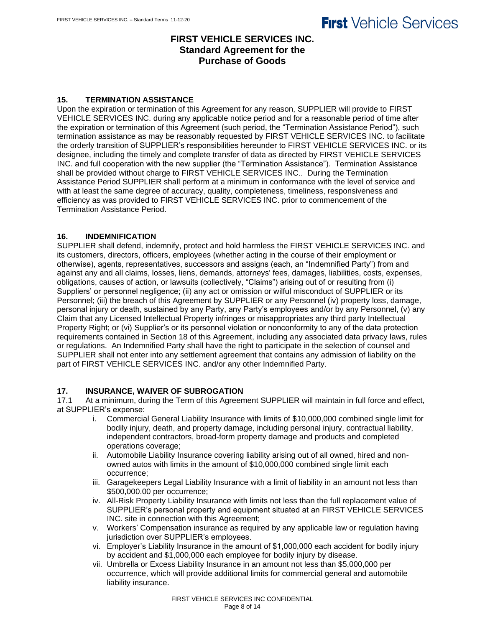## **FIRST VEHICLE SERVICES INC. Standard Agreement for the Purchase of Goods**

#### **15. TERMINATION ASSISTANCE**

Upon the expiration or termination of this Agreement for any reason, SUPPLIER will provide to FIRST VEHICLE SERVICES INC. during any applicable notice period and for a reasonable period of time after the expiration or termination of this Agreement (such period, the "Termination Assistance Period"), such termination assistance as may be reasonably requested by FIRST VEHICLE SERVICES INC. to facilitate the orderly transition of SUPPLIER's responsibilities hereunder to FIRST VEHICLE SERVICES INC. or its designee, including the timely and complete transfer of data as directed by FIRST VEHICLE SERVICES INC. and full cooperation with the new supplier (the "Termination Assistance"). Termination Assistance shall be provided without charge to FIRST VEHICLE SERVICES INC.. During the Termination Assistance Period SUPPLIER shall perform at a minimum in conformance with the level of service and with at least the same degree of accuracy, quality, completeness, timeliness, responsiveness and efficiency as was provided to FIRST VEHICLE SERVICES INC. prior to commencement of the Termination Assistance Period.

#### **16. INDEMNIFICATION**

SUPPLIER shall defend, indemnify, protect and hold harmless the FIRST VEHICLE SERVICES INC. and its customers, directors, officers, employees (whether acting in the course of their employment or otherwise), agents, representatives, successors and assigns (each, an "Indemnified Party") from and against any and all claims, losses, liens, demands, attorneys' fees, damages, liabilities, costs, expenses, obligations, causes of action, or lawsuits (collectively, "Claims") arising out of or resulting from (i) Suppliers' or personnel negligence; (ii) any act or omission or wilful misconduct of SUPPLIER or its Personnel; (iii) the breach of this Agreement by SUPPLIER or any Personnel (iv) property loss, damage, personal injury or death, sustained by any Party, any Party's employees and/or by any Personnel, (v) any Claim that any Licensed Intellectual Property infringes or misappropriates any third party Intellectual Property Right; or (vi) Supplier's or its personnel violation or nonconformity to any of the data protection requirements contained in Section 18 of this Agreement, including any associated data privacy laws, rules or regulations. An Indemnified Party shall have the right to participate in the selection of counsel and SUPPLIER shall not enter into any settlement agreement that contains any admission of liability on the part of FIRST VEHICLE SERVICES INC. and/or any other Indemnified Party.

#### **17. INSURANCE, WAIVER OF SUBROGATION**

17.1 At a minimum, during the Term of this Agreement SUPPLIER will maintain in full force and effect, at SUPPLIER's expense:

- i. Commercial General Liability Insurance with limits of \$10,000,000 combined single limit for bodily injury, death, and property damage, including personal injury, contractual liability, independent contractors, broad-form property damage and products and completed operations coverage;
- ii. Automobile Liability Insurance covering liability arising out of all owned, hired and nonowned autos with limits in the amount of \$10,000,000 combined single limit each occurrence;
- iii. Garagekeepers Legal Liability Insurance with a limit of liability in an amount not less than \$500,000.00 per occurrence;
- iv. All-Risk Property Liability Insurance with limits not less than the full replacement value of SUPPLIER's personal property and equipment situated at an FIRST VEHICLE SERVICES INC. site in connection with this Agreement;
- v. Workers' Compensation insurance as required by any applicable law or regulation having jurisdiction over SUPPLIER's employees.
- vi. Employer's Liability Insurance in the amount of \$1,000,000 each accident for bodily injury by accident and \$1,000,000 each employee for bodily injury by disease.
- vii. Umbrella or Excess Liability Insurance in an amount not less than \$5,000,000 per occurrence, which will provide additional limits for commercial general and automobile liability insurance.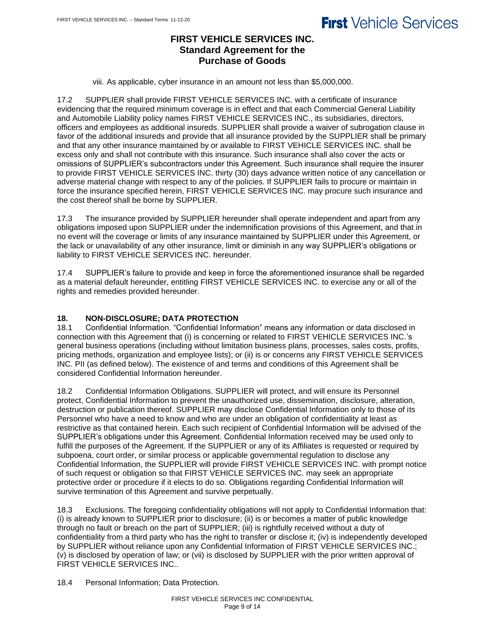## **FIRST VEHICLE SERVICES INC. Standard Agreement for the Purchase of Goods**

viii. As applicable, cyber insurance in an amount not less than \$5,000,000.

17.2 SUPPLIER shall provide FIRST VEHICLE SERVICES INC. with a certificate of insurance evidencing that the required minimum coverage is in effect and that each Commercial General Liability and Automobile Liability policy names FIRST VEHICLE SERVICES INC., its subsidiaries, directors, officers and employees as additional insureds. SUPPLIER shall provide a waiver of subrogation clause in favor of the additional insureds and provide that all insurance provided by the SUPPLIER shall be primary and that any other insurance maintained by or available to FIRST VEHICLE SERVICES INC. shall be excess only and shall not contribute with this insurance. Such insurance shall also cover the acts or omissions of SUPPLIER's subcontractors under this Agreement. Such insurance shall require the insurer to provide FIRST VEHICLE SERVICES INC. thirty (30) days advance written notice of any cancellation or adverse material change with respect to any of the policies. If SUPPLIER fails to procure or maintain in force the insurance specified herein, FIRST VEHICLE SERVICES INC. may procure such insurance and the cost thereof shall be borne by SUPPLIER.

17.3 The insurance provided by SUPPLIER hereunder shall operate independent and apart from any obligations imposed upon SUPPLIER under the indemnification provisions of this Agreement, and that in no event will the coverage or limits of any insurance maintained by SUPPLIER under this Agreement, or the lack or unavailability of any other insurance, limit or diminish in any way SUPPLIER's obligations or liability to FIRST VEHICLE SERVICES INC. hereunder.

17.4 SUPPLIER's failure to provide and keep in force the aforementioned insurance shall be regarded as a material default hereunder, entitling FIRST VEHICLE SERVICES INC. to exercise any or all of the rights and remedies provided hereunder.

## **18. NON-DISCLOSURE; DATA PROTECTION**

18.1 Confidential Information. "Confidential Information" means any information or data disclosed in connection with this Agreement that (i) is concerning or related to FIRST VEHICLE SERVICES INC.'s general business operations (including without limitation business plans, processes, sales costs, profits, pricing methods, organization and employee lists); or (ii) is or concerns any FIRST VEHICLE SERVICES INC. PII (as defined below). The existence of and terms and conditions of this Agreement shall be considered Confidential Information hereunder.

18.2 Confidential Information Obligations. SUPPLIER will protect, and will ensure its Personnel protect, Confidential Information to prevent the unauthorized use, dissemination, disclosure, alteration, destruction or publication thereof. SUPPLIER may disclose Confidential Information only to those of its Personnel who have a need to know and who are under an obligation of confidentiality at least as restrictive as that contained herein. Each such recipient of Confidential Information will be advised of the SUPPLIER's obligations under this Agreement. Confidential Information received may be used only to fulfill the purposes of the Agreement. If the SUPPLIER or any of its Affiliates is requested or required by subpoena, court order, or similar process or applicable governmental regulation to disclose any Confidential Information, the SUPPLIER will provide FIRST VEHICLE SERVICES INC. with prompt notice of such request or obligation so that FIRST VEHICLE SERVICES INC. may seek an appropriate protective order or procedure if it elects to do so. Obligations regarding Confidential Information will survive termination of this Agreement and survive perpetually.

18.3 Exclusions. The foregoing confidentiality obligations will not apply to Confidential Information that: (i) is already known to SUPPLIER prior to disclosure; (ii) is or becomes a matter of public knowledge through no fault or breach on the part of SUPPLIER; (iii) is rightfully received without a duty of confidentiality from a third party who has the right to transfer or disclose it; (iv) is independently developed by SUPPLIER without reliance upon any Confidential Information of FIRST VEHICLE SERVICES INC.; (v) is disclosed by operation of law; or (vii) is disclosed by SUPPLIER with the prior written approval of FIRST VEHICLE SERVICES INC..

18.4 Personal Information; Data Protection.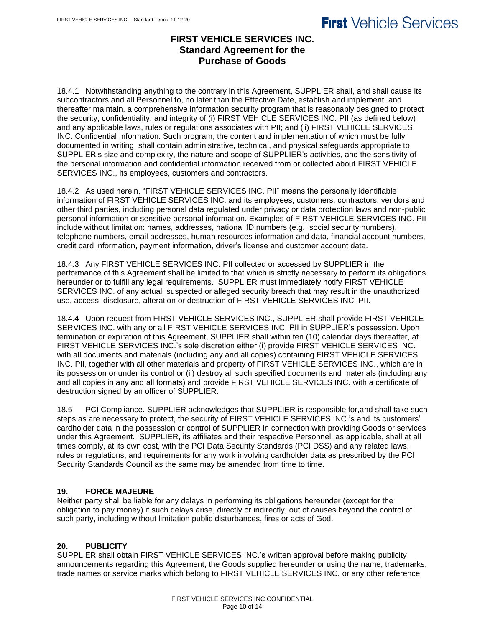## **FIRST VEHICLE SERVICES INC. Standard Agreement for the Purchase of Goods**

18.4.1 Notwithstanding anything to the contrary in this Agreement, SUPPLIER shall, and shall cause its subcontractors and all Personnel to, no later than the Effective Date, establish and implement, and thereafter maintain, a comprehensive information security program that is reasonably designed to protect the security, confidentiality, and integrity of (i) FIRST VEHICLE SERVICES INC. PII (as defined below) and any applicable laws, rules or regulations associates with PII; and (ii) FIRST VEHICLE SERVICES INC. Confidential Information. Such program, the content and implementation of which must be fully documented in writing, shall contain administrative, technical, and physical safeguards appropriate to SUPPLIER's size and complexity, the nature and scope of SUPPLIER's activities, and the sensitivity of the personal information and confidential information received from or collected about FIRST VEHICLE SERVICES INC., its employees, customers and contractors.

18.4.2 As used herein, "FIRST VEHICLE SERVICES INC. PII" means the personally identifiable information of FIRST VEHICLE SERVICES INC. and its employees, customers, contractors, vendors and other third parties, including personal data regulated under privacy or data protection laws and non-public personal information or sensitive personal information. Examples of FIRST VEHICLE SERVICES INC. PII include without limitation: names, addresses, national ID numbers (e.g., social security numbers), telephone numbers, email addresses, human resources information and data, financial account numbers, credit card information, payment information, driver's license and customer account data.

18.4.3 Any FIRST VEHICLE SERVICES INC. PII collected or accessed by SUPPLIER in the performance of this Agreement shall be limited to that which is strictly necessary to perform its obligations hereunder or to fulfill any legal requirements. SUPPLIER must immediately notify FIRST VEHICLE SERVICES INC. of any actual, suspected or alleged security breach that may result in the unauthorized use, access, disclosure, alteration or destruction of FIRST VEHICLE SERVICES INC. PII.

18.4.4 Upon request from FIRST VEHICLE SERVICES INC., SUPPLIER shall provide FIRST VEHICLE SERVICES INC. with any or all FIRST VEHICLE SERVICES INC. PII in SUPPLIER's possession. Upon termination or expiration of this Agreement, SUPPLIER shall within ten (10) calendar days thereafter, at FIRST VEHICLE SERVICES INC.'s sole discretion either (i) provide FIRST VEHICLE SERVICES INC. with all documents and materials (including any and all copies) containing FIRST VEHICLE SERVICES INC. PII, together with all other materials and property of FIRST VEHICLE SERVICES INC., which are in its possession or under its control or (ii) destroy all such specified documents and materials (including any and all copies in any and all formats) and provide FIRST VEHICLE SERVICES INC. with a certificate of destruction signed by an officer of SUPPLIER.

18.5 PCI Compliance. SUPPLIER acknowledges that SUPPLIER is responsible for,and shall take such steps as are necessary to protect, the security of FIRST VEHICLE SERVICES INC.'s and its customers' cardholder data in the possession or control of SUPPLIER in connection with providing Goods or services under this Agreement. SUPPLIER, its affiliates and their respective Personnel, as applicable, shall at all times comply, at its own cost, with the PCI Data Security Standards (PCI DSS) and any related laws, rules or regulations, and requirements for any work involving cardholder data as prescribed by the PCI Security Standards Council as the same may be amended from time to time.

## **19. FORCE MAJEURE**

Neither party shall be liable for any delays in performing its obligations hereunder (except for the obligation to pay money) if such delays arise, directly or indirectly, out of causes beyond the control of such party, including without limitation public disturbances, fires or acts of God.

## **20. PUBLICITY**

SUPPLIER shall obtain FIRST VEHICLE SERVICES INC.'s written approval before making publicity announcements regarding this Agreement, the Goods supplied hereunder or using the name, trademarks, trade names or service marks which belong to FIRST VEHICLE SERVICES INC. or any other reference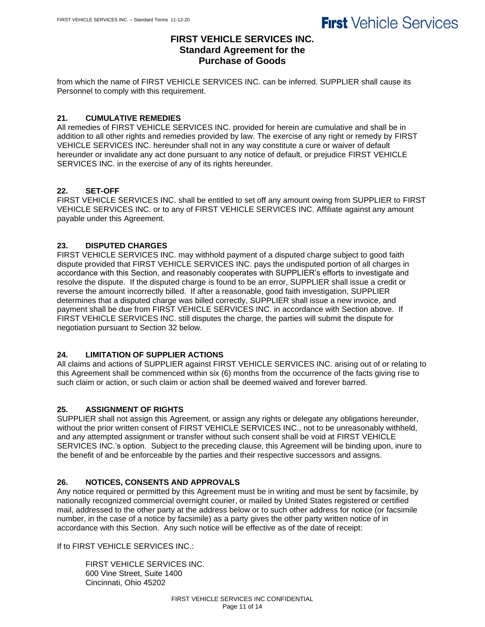## **FIRST VEHICLE SERVICES INC. Standard Agreement for the Purchase of Goods**

from which the name of FIRST VEHICLE SERVICES INC. can be inferred. SUPPLIER shall cause its Personnel to comply with this requirement.

### **21. CUMULATIVE REMEDIES**

All remedies of FIRST VEHICLE SERVICES INC. provided for herein are cumulative and shall be in addition to all other rights and remedies provided by law. The exercise of any right or remedy by FIRST VEHICLE SERVICES INC. hereunder shall not in any way constitute a cure or waiver of default hereunder or invalidate any act done pursuant to any notice of default, or prejudice FIRST VEHICLE SERVICES INC. in the exercise of any of its rights hereunder.

### **22. SET-OFF**

FIRST VEHICLE SERVICES INC. shall be entitled to set off any amount owing from SUPPLIER to FIRST VEHICLE SERVICES INC. or to any of FIRST VEHICLE SERVICES INC. Affiliate against any amount payable under this Agreement.

### **23. DISPUTED CHARGES**

FIRST VEHICLE SERVICES INC. may withhold payment of a disputed charge subject to good faith dispute provided that FIRST VEHICLE SERVICES INC. pays the undisputed portion of all charges in accordance with this Section, and reasonably cooperates with SUPPLIER's efforts to investigate and resolve the dispute. If the disputed charge is found to be an error, SUPPLIER shall issue a credit or reverse the amount incorrectly billed. If after a reasonable, good faith investigation, SUPPLIER determines that a disputed charge was billed correctly, SUPPLIER shall issue a new invoice, and payment shall be due from FIRST VEHICLE SERVICES INC. in accordance with Section above. If FIRST VEHICLE SERVICES INC. still disputes the charge, the parties will submit the dispute for negotiation pursuant to Section 32 below.

### **24. LIMITATION OF SUPPLIER ACTIONS**

All claims and actions of SUPPLIER against FIRST VEHICLE SERVICES INC. arising out of or relating to this Agreement shall be commenced within six (6) months from the occurrence of the facts giving rise to such claim or action, or such claim or action shall be deemed waived and forever barred.

### **25. ASSIGNMENT OF RIGHTS**

SUPPLIER shall not assign this Agreement, or assign any rights or delegate any obligations hereunder, without the prior written consent of FIRST VEHICLE SERVICES INC., not to be unreasonably withheld, and any attempted assignment or transfer without such consent shall be void at FIRST VEHICLE SERVICES INC.'s option. Subject to the preceding clause, this Agreement will be binding upon, inure to the benefit of and be enforceable by the parties and their respective successors and assigns.

### **26. NOTICES, CONSENTS AND APPROVALS**

Any notice required or permitted by this Agreement must be in writing and must be sent by facsimile, by nationally recognized commercial overnight courier, or mailed by United States registered or certified mail, addressed to the other party at the address below or to such other address for notice (or facsimile number, in the case of a notice by facsimile) as a party gives the other party written notice of in accordance with this Section. Any such notice will be effective as of the date of receipt:

If to FIRST VEHICLE SERVICES INC.:

FIRST VEHICLE SERVICES INC. 600 Vine Street, Suite 1400 Cincinnati, Ohio 45202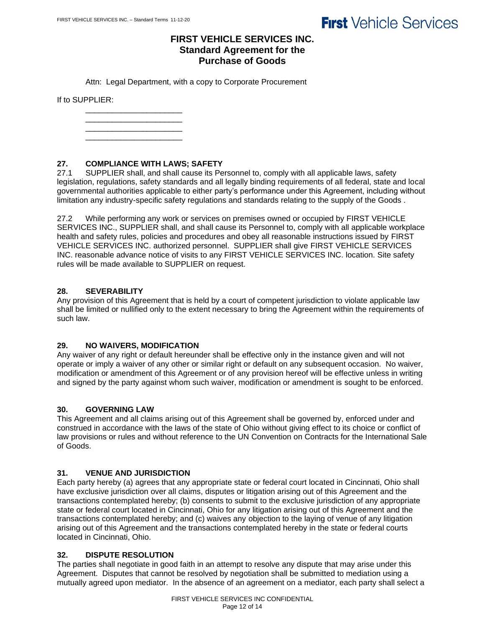## **FIRST VEHICLE SERVICES INC. Standard Agreement for the Purchase of Goods**

Attn: Legal Department, with a copy to Corporate Procurement

If to SUPPLIER:

\_\_\_\_\_\_\_\_\_\_\_\_\_\_\_\_\_\_\_\_\_\_ \_\_\_\_\_\_\_\_\_\_\_\_\_\_\_\_\_\_\_\_\_\_ \_\_\_\_\_\_\_\_\_\_\_\_\_\_\_\_\_\_\_\_\_\_

\_\_\_\_\_\_\_\_\_\_\_\_\_\_\_\_\_\_\_\_\_\_

### **27. COMPLIANCE WITH LAWS; SAFETY**

27.1 SUPPLIER shall, and shall cause its Personnel to, comply with all applicable laws, safety legislation, regulations, safety standards and all legally binding requirements of all federal, state and local governmental authorities applicable to either party's performance under this Agreement, including without limitation any industry-specific safety regulations and standards relating to the supply of the Goods .

27.2 While performing any work or services on premises owned or occupied by FIRST VEHICLE SERVICES INC., SUPPLIER shall, and shall cause its Personnel to, comply with all applicable workplace health and safety rules, policies and procedures and obey all reasonable instructions issued by FIRST VEHICLE SERVICES INC. authorized personnel. SUPPLIER shall give FIRST VEHICLE SERVICES INC. reasonable advance notice of visits to any FIRST VEHICLE SERVICES INC. location. Site safety rules will be made available to SUPPLIER on request.

### **28. SEVERABILITY**

Any provision of this Agreement that is held by a court of competent jurisdiction to violate applicable law shall be limited or nullified only to the extent necessary to bring the Agreement within the requirements of such law.

### **29. NO WAIVERS, MODIFICATION**

Any waiver of any right or default hereunder shall be effective only in the instance given and will not operate or imply a waiver of any other or similar right or default on any subsequent occasion. No waiver, modification or amendment of this Agreement or of any provision hereof will be effective unless in writing and signed by the party against whom such waiver, modification or amendment is sought to be enforced.

### **30. GOVERNING LAW**

This Agreement and all claims arising out of this Agreement shall be governed by, enforced under and construed in accordance with the laws of the state of Ohio without giving effect to its choice or conflict of law provisions or rules and without reference to the UN Convention on Contracts for the International Sale of Goods.

#### **31. VENUE AND JURISDICTION**

Each party hereby (a) agrees that any appropriate state or federal court located in Cincinnati, Ohio shall have exclusive jurisdiction over all claims, disputes or litigation arising out of this Agreement and the transactions contemplated hereby; (b) consents to submit to the exclusive jurisdiction of any appropriate state or federal court located in Cincinnati, Ohio for any litigation arising out of this Agreement and the transactions contemplated hereby; and (c) waives any objection to the laying of venue of any litigation arising out of this Agreement and the transactions contemplated hereby in the state or federal courts located in Cincinnati, Ohio.

#### **32. DISPUTE RESOLUTION**

The parties shall negotiate in good faith in an attempt to resolve any dispute that may arise under this Agreement. Disputes that cannot be resolved by negotiation shall be submitted to mediation using a mutually agreed upon mediator. In the absence of an agreement on a mediator, each party shall select a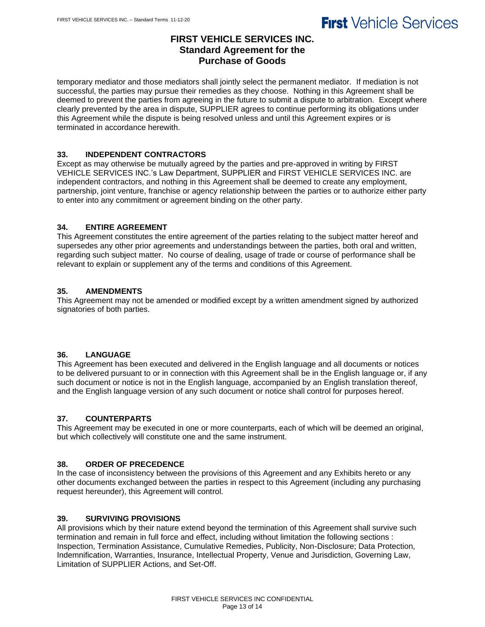## **FIRST VEHICLE SERVICES INC. Standard Agreement for the Purchase of Goods**

temporary mediator and those mediators shall jointly select the permanent mediator. If mediation is not successful, the parties may pursue their remedies as they choose. Nothing in this Agreement shall be deemed to prevent the parties from agreeing in the future to submit a dispute to arbitration. Except where clearly prevented by the area in dispute, SUPPLIER agrees to continue performing its obligations under this Agreement while the dispute is being resolved unless and until this Agreement expires or is terminated in accordance herewith.

### **33. INDEPENDENT CONTRACTORS**

Except as may otherwise be mutually agreed by the parties and pre-approved in writing by FIRST VEHICLE SERVICES INC.'s Law Department, SUPPLIER and FIRST VEHICLE SERVICES INC. are independent contractors, and nothing in this Agreement shall be deemed to create any employment, partnership, joint venture, franchise or agency relationship between the parties or to authorize either party to enter into any commitment or agreement binding on the other party.

### **34. ENTIRE AGREEMENT**

This Agreement constitutes the entire agreement of the parties relating to the subject matter hereof and supersedes any other prior agreements and understandings between the parties, both oral and written, regarding such subject matter. No course of dealing, usage of trade or course of performance shall be relevant to explain or supplement any of the terms and conditions of this Agreement.

### **35. AMENDMENTS**

This Agreement may not be amended or modified except by a written amendment signed by authorized signatories of both parties.

## **36. LANGUAGE**

This Agreement has been executed and delivered in the English language and all documents or notices to be delivered pursuant to or in connection with this Agreement shall be in the English language or, if any such document or notice is not in the English language, accompanied by an English translation thereof, and the English language version of any such document or notice shall control for purposes hereof.

### **37. COUNTERPARTS**

This Agreement may be executed in one or more counterparts, each of which will be deemed an original, but which collectively will constitute one and the same instrument.

## **38. ORDER OF PRECEDENCE**

In the case of inconsistency between the provisions of this Agreement and any Exhibits hereto or any other documents exchanged between the parties in respect to this Agreement (including any purchasing request hereunder), this Agreement will control.

### **39. SURVIVING PROVISIONS**

All provisions which by their nature extend beyond the termination of this Agreement shall survive such termination and remain in full force and effect, including without limitation the following sections : Inspection, Termination Assistance, Cumulative Remedies, Publicity, Non-Disclosure; Data Protection, Indemnification, Warranties, Insurance, Intellectual Property, Venue and Jurisdiction, Governing Law, Limitation of SUPPLIER Actions, and Set-Off.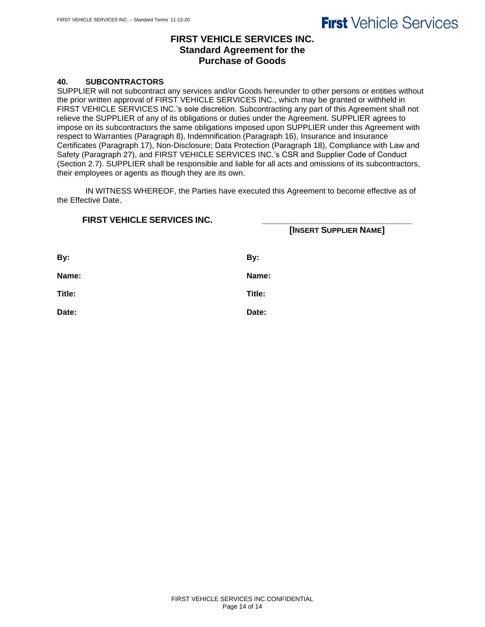## **FIRST VEHICLE SERVICES INC. Standard Agreement for the Purchase of Goods**

#### **40. SUBCONTRACTORS**

SUPPLIER will not subcontract any services and/or Goods hereunder to other persons or entities without the prior written approval of FIRST VEHICLE SERVICES INC., which may be granted or withheld in FIRST VEHICLE SERVICES INC.'s sole discretion. Subcontracting any part of this Agreement shall not relieve the SUPPLIER of any of its obligations or duties under the Agreement. SUPPLIER agrees to impose on its subcontractors the same obligations imposed upon SUPPLIER under this Agreement with respect to Warranties (Paragraph 8), Indemnification (Paragraph 16), Insurance and Insurance Certificates (Paragraph 17), Non-Disclosure; Data Protection (Paragraph 18), Compliance with Law and Safety (Paragraph 27), and FIRST VEHICLE SERVICES INC.'s CSR and Supplier Code of Conduct (Section 2.7). SUPPLIER shall be responsible and liable for all acts and omissions of its subcontractors, their employees or agents as though they are its own.

IN WITNESS WHEREOF, the Parties have executed this Agreement to become effective as of the Effective Date.

| <b>FIRST VEHICLE SERVICES INC.</b> | [INSERT SUPPLIER NAME] |
|------------------------------------|------------------------|
| By:                                | By:                    |
| Name:                              | Name:                  |
| Title:                             | Title:                 |
| Date:                              | Date:                  |
|                                    |                        |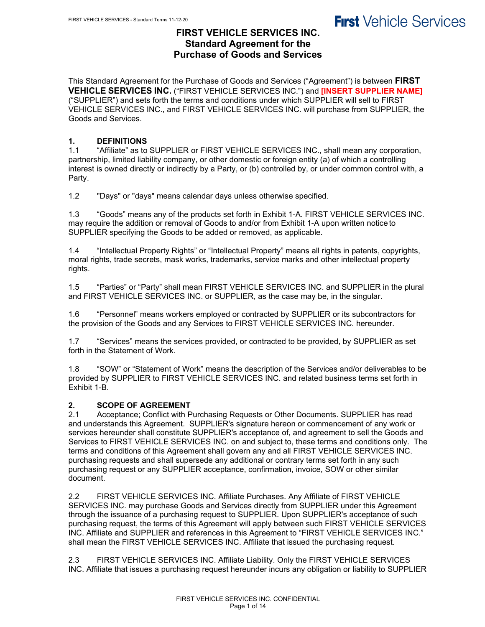## **FIRST VEHICLE SERVICES INC. Standard Agreement for the Purchase of Goods and Services**

This Standard Agreement for the Purchase of Goods and Services ("Agreement") is between **FIRST VEHICLE SERVICES INC.** ("FIRST VEHICLE SERVICES INC.") and **[INSERT SUPPLIER NAME]** ("SUPPLIER") and sets forth the terms and conditions under which SUPPLIER will sell to FIRST VEHICLE SERVICES INC., and FIRST VEHICLE SERVICES INC. will purchase from SUPPLIER, the Goods and Services.

## **1. DEFINITIONS**

1.1 "Affiliate" as to SUPPLIER or FIRST VEHICLE SERVICES INC., shall mean any corporation, partnership, limited liability company, or other domestic or foreign entity (a) of which a controlling interest is owned directly or indirectly by a Party, or (b) controlled by, or under common control with, a Party.

1.2 "Days" or "days" means calendar days unless otherwise specified.

1.3 "Goods" means any of the products set forth in Exhibit 1-A. FIRST VEHICLE SERVICES INC. may require the addition or removal of Goods to and/or from Exhibit 1-A upon written notice to SUPPLIER specifying the Goods to be added or removed, as applicable.

1.4 "Intellectual Property Rights" or "Intellectual Property" means all rights in patents, copyrights, moral rights, trade secrets, mask works, trademarks, service marks and other intellectual property rights.

1.5 "Parties" or "Party" shall mean FIRST VEHICLE SERVICES INC. and SUPPLIER in the plural and FIRST VEHICLE SERVICES INC. or SUPPLIER, as the case may be, in the singular.

1.6 "Personnel" means workers employed or contracted by SUPPLIER or its subcontractors for the provision of the Goods and any Services to FIRST VEHICLE SERVICES INC. hereunder.

1.7 "Services" means the services provided, or contracted to be provided, by SUPPLIER as set forth in the Statement of Work.

1.8 "SOW" or "Statement of Work" means the description of the Services and/or deliverables to be provided by SUPPLIER to FIRST VEHICLE SERVICES INC. and related business terms set forth in Exhibit 1-B.

## **2. SCOPE OF AGREEMENT**

2.1 Acceptance; Conflict with Purchasing Requests or Other Documents. SUPPLIER has read and understands this Agreement. SUPPLIER's signature hereon or commencement of any work or services hereunder shall constitute SUPPLIER's acceptance of, and agreement to sell the Goods and Services to FIRST VEHICLE SERVICES INC. on and subject to, these terms and conditions only. The terms and conditions of this Agreement shall govern any and all FIRST VEHICLE SERVICES INC. purchasing requests and shall supersede any additional or contrary terms set forth in any such purchasing request or any SUPPLIER acceptance, confirmation, invoice, SOW or other similar document.

2.2 FIRST VEHICLE SERVICES INC. Affiliate Purchases. Any Affiliate of FIRST VEHICLE SERVICES INC. may purchase Goods and Services directly from SUPPLIER under this Agreement through the issuance of a purchasing request to SUPPLIER. Upon SUPPLIER's acceptance of such purchasing request, the terms of this Agreement will apply between such FIRST VEHICLE SERVICES INC. Affiliate and SUPPLIER and references in this Agreement to "FIRST VEHICLE SERVICES INC." shall mean the FIRST VEHICLE SERVICES INC. Affiliate that issued the purchasing request.

2.3 FIRST VEHICLE SERVICES INC. Affiliate Liability. Only the FIRST VEHICLE SERVICES INC. Affiliate that issues a purchasing request hereunder incurs any obligation or liability to SUPPLIER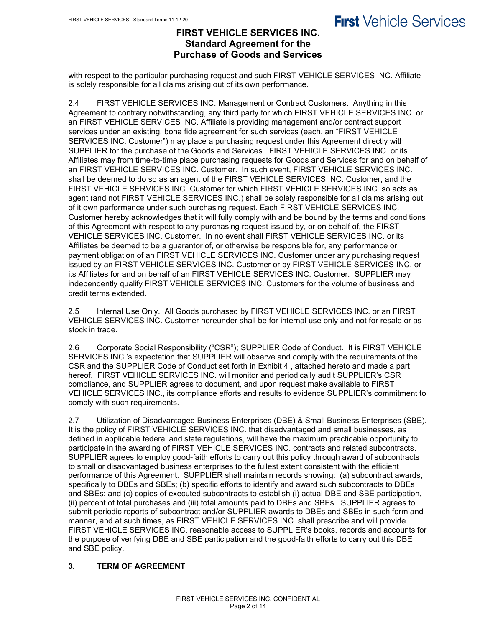## **FIRST VEHICLE SERVICES INC. Standard Agreement for the Purchase of Goods and Services**

with respect to the particular purchasing request and such FIRST VEHICLE SERVICES INC. Affiliate is solely responsible for all claims arising out of its own performance.

2.4 FIRST VEHICLE SERVICES INC. Management or Contract Customers. Anything in this Agreement to contrary notwithstanding, any third party for which FIRST VEHICLE SERVICES INC. or an FIRST VEHICLE SERVICES INC. Affiliate is providing management and/or contract support services under an existing, bona fide agreement for such services (each, an "FIRST VEHICLE SERVICES INC. Customer") may place a purchasing request under this Agreement directly with SUPPLIER for the purchase of the Goods and Services. FIRST VEHICLE SERVICES INC. or its Affiliates may from time-to-time place purchasing requests for Goods and Services for and on behalf of an FIRST VEHICLE SERVICES INC. Customer. In such event, FIRST VEHICLE SERVICES INC. shall be deemed to do so as an agent of the FIRST VEHICLE SERVICES INC. Customer, and the FIRST VEHICLE SERVICES INC. Customer for which FIRST VEHICLE SERVICES INC. so acts as agent (and not FIRST VEHICLE SERVICES INC.) shall be solely responsible for all claims arising out of it own performance under such purchasing request. Each FIRST VEHICLE SERVICES INC. Customer hereby acknowledges that it will fully comply with and be bound by the terms and conditions of this Agreement with respect to any purchasing request issued by, or on behalf of, the FIRST VEHICLE SERVICES INC. Customer. In no event shall FIRST VEHICLE SERVICES INC. or its Affiliates be deemed to be a guarantor of, or otherwise be responsible for, any performance or payment obligation of an FIRST VEHICLE SERVICES INC. Customer under any purchasing request issued by an FIRST VEHICLE SERVICES INC. Customer or by FIRST VEHICLE SERVICES INC. or its Affiliates for and on behalf of an FIRST VEHICLE SERVICES INC. Customer. SUPPLIER may independently qualify FIRST VEHICLE SERVICES INC. Customers for the volume of business and credit terms extended.

2.5 Internal Use Only. All Goods purchased by FIRST VEHICLE SERVICES INC. or an FIRST VEHICLE SERVICES INC. Customer hereunder shall be for internal use only and not for resale or as stock in trade.

2.6 Corporate Social Responsibility ("CSR"); SUPPLIER Code of Conduct. It is FIRST VEHICLE SERVICES INC.'s expectation that SUPPLIER will observe and comply with the requirements of the CSR and the SUPPLIER Code of Conduct set forth in Exhibit 4 , attached hereto and made a part hereof. FIRST VEHICLE SERVICES INC. will monitor and periodically audit SUPPLIER's CSR compliance, and SUPPLIER agrees to document, and upon request make available to FIRST VEHICLE SERVICES INC., its compliance efforts and results to evidence SUPPLIER's commitment to comply with such requirements.

2.7 Utilization of Disadvantaged Business Enterprises (DBE) & Small Business Enterprises (SBE). It is the policy of FIRST VEHICLE SERVICES INC. that disadvantaged and small businesses, as defined in applicable federal and state regulations, will have the maximum practicable opportunity to participate in the awarding of FIRST VEHICLE SERVICES INC. contracts and related subcontracts. SUPPLIER agrees to employ good-faith efforts to carry out this policy through award of subcontracts to small or disadvantaged business enterprises to the fullest extent consistent with the efficient performance of this Agreement. SUPPLIER shall maintain records showing: (a) subcontract awards, specifically to DBEs and SBEs; (b) specific efforts to identify and award such subcontracts to DBEs and SBEs; and (c) copies of executed subcontracts to establish (i) actual DBE and SBE participation, (ii) percent of total purchases and (iii) total amounts paid to DBEs and SBEs. SUPPLIER agrees to submit periodic reports of subcontract and/or SUPPLIER awards to DBEs and SBEs in such form and manner, and at such times, as FIRST VEHICLE SERVICES INC. shall prescribe and will provide FIRST VEHICLE SERVICES INC. reasonable access to SUPPLIER's books, records and accounts for the purpose of verifying DBE and SBE participation and the good-faith efforts to carry out this DBE and SBE policy.

## **3. TERM OF AGREEMENT**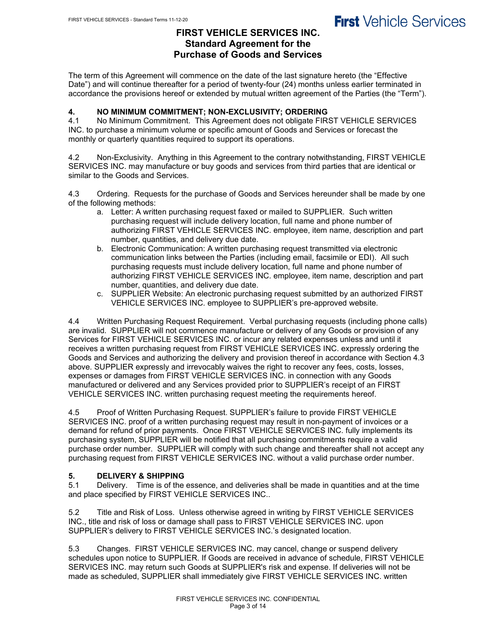## **FIRST VEHICLE SERVICES INC. Standard Agreement for the Purchase of Goods and Services**

The term of this Agreement will commence on the date of the last signature hereto (the "Effective Date") and will continue thereafter for a period of twenty-four (24) months unless earlier terminated in accordance the provisions hereof or extended by mutual written agreement of the Parties (the "Term").

## **4. NO MINIMUM COMMITMENT; NON-EXCLUSIVITY; ORDERING**

4.1 No Minimum Commitment. This Agreement does not obligate FIRST VEHICLE SERVICES INC. to purchase a minimum volume or specific amount of Goods and Services or forecast the monthly or quarterly quantities required to support its operations.

4.2 Non-Exclusivity. Anything in this Agreement to the contrary notwithstanding, FIRST VEHICLE SERVICES INC. may manufacture or buy goods and services from third parties that are identical or similar to the Goods and Services.

4.3 Ordering. Requests for the purchase of Goods and Services hereunder shall be made by one of the following methods:

- a. Letter: A written purchasing request faxed or mailed to SUPPLIER. Such written purchasing request will include delivery location, full name and phone number of authorizing FIRST VEHICLE SERVICES INC. employee, item name, description and part number, quantities, and delivery due date.
- b. Electronic Communication: A written purchasing request transmitted via electronic communication links between the Parties (including email, facsimile or EDI). All such purchasing requests must include delivery location, full name and phone number of authorizing FIRST VEHICLE SERVICES INC. employee, item name, description and part number, quantities, and delivery due date.
- c. SUPPLIER Website: An electronic purchasing request submitted by an authorized FIRST VEHICLE SERVICES INC. employee to SUPPLIER's pre-approved website.

4.4 Written Purchasing Request Requirement. Verbal purchasing requests (including phone calls) are invalid. SUPPLIER will not commence manufacture or delivery of any Goods or provision of any Services for FIRST VEHICLE SERVICES INC. or incur any related expenses unless and until it receives a written purchasing request from FIRST VEHICLE SERVICES INC. expressly ordering the Goods and Services and authorizing the delivery and provision thereof in accordance with Section 4.3 above. SUPPLIER expressly and irrevocably waives the right to recover any fees, costs, losses, expenses or damages from FIRST VEHICLE SERVICES INC. in connection with any Goods manufactured or delivered and any Services provided prior to SUPPLIER's receipt of an FIRST VEHICLE SERVICES INC. written purchasing request meeting the requirements hereof.

4.5 Proof of Written Purchasing Request. SUPPLIER's failure to provide FIRST VEHICLE SERVICES INC. proof of a written purchasing request may result in non-payment of invoices or a demand for refund of prior payments. Once FIRST VEHICLE SERVICES INC. fully implements its purchasing system, SUPPLIER will be notified that all purchasing commitments require a valid purchase order number. SUPPLIER will comply with such change and thereafter shall not accept any purchasing request from FIRST VEHICLE SERVICES INC. without a valid purchase order number.

## **5. DELIVERY & SHIPPING**

5.1 Delivery. Time is of the essence, and deliveries shall be made in quantities and at the time and place specified by FIRST VEHICLE SERVICES INC..

5.2 Title and Risk of Loss. Unless otherwise agreed in writing by FIRST VEHICLE SERVICES INC., title and risk of loss or damage shall pass to FIRST VEHICLE SERVICES INC. upon SUPPLIER's delivery to FIRST VEHICLE SERVICES INC.'s designated location.

5.3 Changes. FIRST VEHICLE SERVICES INC. may cancel, change or suspend delivery schedules upon notice to SUPPLIER. If Goods are received in advance of schedule, FIRST VEHICLE SERVICES INC. may return such Goods at SUPPLIER's risk and expense. If deliveries will not be made as scheduled, SUPPLIER shall immediately give FIRST VEHICLE SERVICES INC. written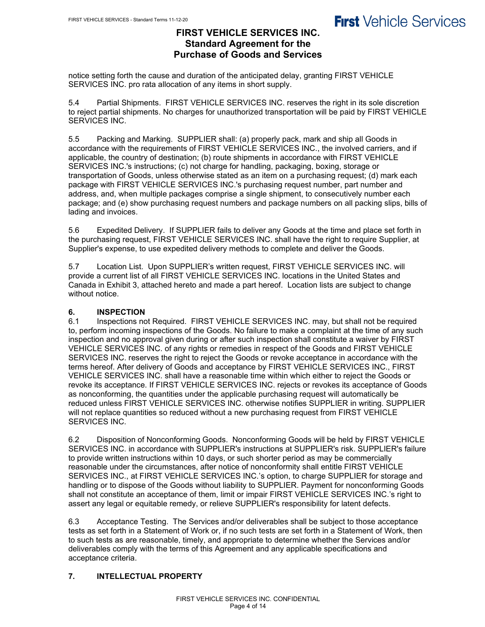### **FIRST VEHICLE SERVICES INC. Standard Agreement for the Purchase of Goods and Services**

notice setting forth the cause and duration of the anticipated delay, granting FIRST VEHICLE SERVICES INC. pro rata allocation of any items in short supply.

5.4 Partial Shipments. FIRST VEHICLE SERVICES INC. reserves the right in its sole discretion to reject partial shipments. No charges for unauthorized transportation will be paid by FIRST VEHICLE SERVICES INC.

5.5 Packing and Marking. SUPPLIER shall: (a) properly pack, mark and ship all Goods in accordance with the requirements of FIRST VEHICLE SERVICES INC., the involved carriers, and if applicable, the country of destination; (b) route shipments in accordance with FIRST VEHICLE SERVICES INC.'s instructions; (c) not charge for handling, packaging, boxing, storage or transportation of Goods, unless otherwise stated as an item on a purchasing request; (d) mark each package with FIRST VEHICLE SERVICES INC.'s purchasing request number, part number and address, and, when multiple packages comprise a single shipment, to consecutively number each package; and (e) show purchasing request numbers and package numbers on all packing slips, bills of lading and invoices.

5.6 Expedited Delivery. If SUPPLIER fails to deliver any Goods at the time and place set forth in the purchasing request, FIRST VEHICLE SERVICES INC. shall have the right to require Supplier, at Supplier's expense, to use expedited delivery methods to complete and deliver the Goods.

5.7 Location List. Upon SUPPLIER's written request, FIRST VEHICLE SERVICES INC. will provide a current list of all FIRST VEHICLE SERVICES INC. locations in the United States and Canada in Exhibit 3, attached hereto and made a part hereof. Location lists are subject to change without notice.

## **6. INSPECTION**

Inspections not Required. FIRST VEHICLE SERVICES INC. may, but shall not be required to, perform incoming inspections of the Goods. No failure to make a complaint at the time of any such inspection and no approval given during or after such inspection shall constitute a waiver by FIRST VEHICLE SERVICES INC. of any rights or remedies in respect of the Goods and FIRST VEHICLE SERVICES INC. reserves the right to reject the Goods or revoke acceptance in accordance with the terms hereof. After delivery of Goods and acceptance by FIRST VEHICLE SERVICES INC., FIRST VEHICLE SERVICES INC. shall have a reasonable time within which either to reject the Goods or revoke its acceptance. If FIRST VEHICLE SERVICES INC. rejects or revokes its acceptance of Goods as nonconforming, the quantities under the applicable purchasing request will automatically be reduced unless FIRST VEHICLE SERVICES INC. otherwise notifies SUPPLIER in writing. SUPPLIER will not replace quantities so reduced without a new purchasing request from FIRST VEHICLE SERVICES INC.

6.2 Disposition of Nonconforming Goods. Nonconforming Goods will be held by FIRST VEHICLE SERVICES INC. in accordance with SUPPLIER's instructions at SUPPLIER's risk. SUPPLIER's failure to provide written instructions within 10 days, or such shorter period as may be commercially reasonable under the circumstances, after notice of nonconformity shall entitle FIRST VEHICLE SERVICES INC., at FIRST VEHICLE SERVICES INC.'s option, to charge SUPPLIER for storage and handling or to dispose of the Goods without liability to SUPPLIER. Payment for nonconforming Goods shall not constitute an acceptance of them, limit or impair FIRST VEHICLE SERVICES INC.'s right to assert any legal or equitable remedy, or relieve SUPPLIER's responsibility for latent defects.

6.3 Acceptance Testing. The Services and/or deliverables shall be subject to those acceptance tests as set forth in a Statement of Work or, if no such tests are set forth in a Statement of Work, then to such tests as are reasonable, timely, and appropriate to determine whether the Services and/or deliverables comply with the terms of this Agreement and any applicable specifications and acceptance criteria.

### **7. INTELLECTUAL PROPERTY**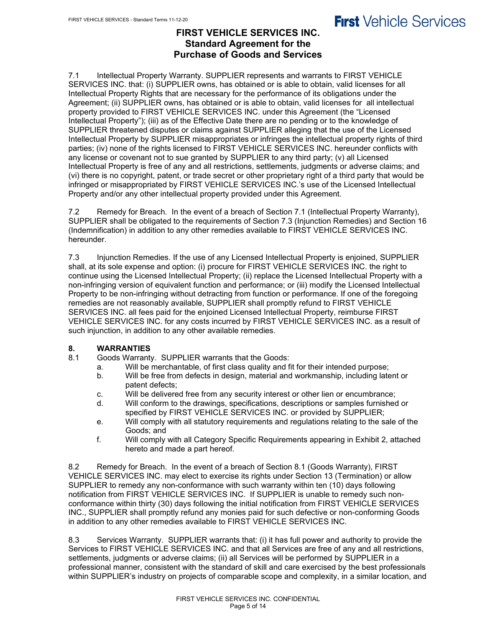## **FIRST VEHICLE SERVICES INC. Standard Agreement for the Purchase of Goods and Services**

7.1 Intellectual Property Warranty. SUPPLIER represents and warrants to FIRST VEHICLE SERVICES INC. that: (i) SUPPLIER owns, has obtained or is able to obtain, valid licenses for all Intellectual Property Rights that are necessary for the performance of its obligations under the Agreement; (ii) SUPPLIER owns, has obtained or is able to obtain, valid licenses for all intellectual property provided to FIRST VEHICLE SERVICES INC. under this Agreement (the "Licensed Intellectual Property"); (iii) as of the Effective Date there are no pending or to the knowledge of SUPPLIER threatened disputes or claims against SUPPLIER alleging that the use of the Licensed Intellectual Property by SUPPLIER misappropriates or infringes the intellectual property rights of third parties; (iv) none of the rights licensed to FIRST VEHICLE SERVICES INC. hereunder conflicts with any license or covenant not to sue granted by SUPPLIER to any third party; (v) all Licensed Intellectual Property is free of any and all restrictions, settlements, judgments or adverse claims; and (vi) there is no copyright, patent, or trade secret or other proprietary right of a third party that would be infringed or misappropriated by FIRST VEHICLE SERVICES INC.'s use of the Licensed Intellectual Property and/or any other intellectual property provided under this Agreement.

7.2 Remedy for Breach. In the event of a breach of Section 7.1 (Intellectual Property Warranty), SUPPLIER shall be obligated to the requirements of Section 7.3 (Injunction Remedies) and Section 16 (Indemnification) in addition to any other remedies available to FIRST VEHICLE SERVICES INC. hereunder.

7.3 Injunction Remedies. If the use of any Licensed Intellectual Property is enjoined, SUPPLIER shall, at its sole expense and option: (i) procure for FIRST VEHICLE SERVICES INC. the right to continue using the Licensed Intellectual Property; (ii) replace the Licensed Intellectual Property with a non-infringing version of equivalent function and performance; or (iii) modify the Licensed Intellectual Property to be non-infringing without detracting from function or performance. If one of the foregoing remedies are not reasonably available, SUPPLIER shall promptly refund to FIRST VEHICLE SERVICES INC. all fees paid for the enjoined Licensed Intellectual Property, reimburse FIRST VEHICLE SERVICES INC. for any costs incurred by FIRST VEHICLE SERVICES INC. as a result of such injunction, in addition to any other available remedies.

## **8. WARRANTIES**

- Goods Warranty. SUPPLIER warrants that the Goods:
	- a. Will be merchantable, of first class quality and fit for their intended purpose;
	- b. Will be free from defects in design, material and workmanship, including latent or patent defects;
	- c. Will be delivered free from any security interest or other lien or encumbrance;
	- d. Will conform to the drawings, specifications, descriptions or samples furnished or specified by FIRST VEHICLE SERVICES INC. or provided by SUPPLIER;
	- e. Will comply with all statutory requirements and regulations relating to the sale of the Goods; and
	- f. Will comply with all Category Specific Requirements appearing in Exhibit 2, attached hereto and made a part hereof.

8.2 Remedy for Breach. In the event of a breach of Section 8.1 (Goods Warranty), FIRST VEHICLE SERVICES INC. may elect to exercise its rights under Section 13 (Termination) or allow SUPPLIER to remedy any non-conformance with such warranty within ten (10) days following notification from FIRST VEHICLE SERVICES INC. If SUPPLIER is unable to remedy such nonconformance within thirty (30) days following the initial notification from FIRST VEHICLE SERVICES INC., SUPPLIER shall promptly refund any monies paid for such defective or non-conforming Goods in addition to any other remedies available to FIRST VEHICLE SERVICES INC.

8.3 Services Warranty. SUPPLIER warrants that: (i) it has full power and authority to provide the Services to FIRST VEHICLE SERVICES INC. and that all Services are free of any and all restrictions, settlements, judgments or adverse claims; (ii) all Services will be performed by SUPPLIER in a professional manner, consistent with the standard of skill and care exercised by the best professionals within SUPPLIER's industry on projects of comparable scope and complexity, in a similar location, and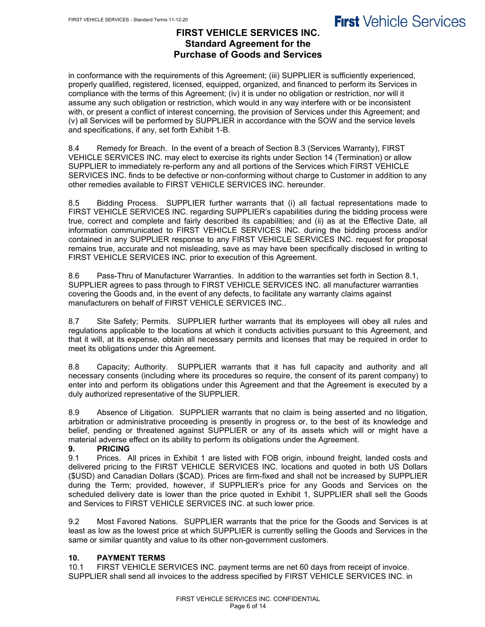## **FIRST VEHICLE SERVICES INC. Standard Agreement for the Purchase of Goods and Services**

in conformance with the requirements of this Agreement; (iii) SUPPLIER is sufficiently experienced, properly qualified, registered, licensed, equipped, organized, and financed to perform its Services in compliance with the terms of this Agreement; (iv) it is under no obligation or restriction, nor will it assume any such obligation or restriction, which would in any way interfere with or be inconsistent with, or present a conflict of interest concerning, the provision of Services under this Agreement; and (v) all Services will be performed by SUPPLIER in accordance with the SOW and the service levels and specifications, if any, set forth Exhibit 1-B.

8.4 Remedy for Breach. In the event of a breach of Section 8.3 (Services Warranty), FIRST VEHICLE SERVICES INC. may elect to exercise its rights under Section 14 (Termination) or allow SUPPLIER to immediately re-perform any and all portions of the Services which FIRST VEHICLE SERVICES INC. finds to be defective or non-conforming without charge to Customer in addition to any other remedies available to FIRST VEHICLE SERVICES INC. hereunder.

8.5 Bidding Process. SUPPLIER further warrants that (i) all factual representations made to FIRST VEHICLE SERVICES INC. regarding SUPPLIER's capabilities during the bidding process were true, correct and complete and fairly described its capabilities; and (ii) as at the Effective Date, all information communicated to FIRST VEHICLE SERVICES INC. during the bidding process and/or contained in any SUPPLIER response to any FIRST VEHICLE SERVICES INC. request for proposal remains true, accurate and not misleading, save as may have been specifically disclosed in writing to FIRST VEHICLE SERVICES INC. prior to execution of this Agreement.

8.6 Pass-Thru of Manufacturer Warranties. In addition to the warranties set forth in Section 8.1, SUPPLIER agrees to pass through to FIRST VEHICLE SERVICES INC. all manufacturer warranties covering the Goods and, in the event of any defects, to facilitate any warranty claims against manufacturers on behalf of FIRST VEHICLE SERVICES INC..

8.7 Site Safety; Permits. SUPPLIER further warrants that its employees will obey all rules and regulations applicable to the locations at which it conducts activities pursuant to this Agreement, and that it will, at its expense, obtain all necessary permits and licenses that may be required in order to meet its obligations under this Agreement.

8.8 Capacity; Authority. SUPPLIER warrants that it has full capacity and authority and all necessary consents (including where its procedures so require, the consent of its parent company) to enter into and perform its obligations under this Agreement and that the Agreement is executed by a duly authorized representative of the SUPPLIER.

8.9 Absence of Litigation. SUPPLIER warrants that no claim is being asserted and no litigation, arbitration or administrative proceeding is presently in progress or, to the best of its knowledge and belief, pending or threatened against SUPPLIER or any of its assets which will or might have a material adverse effect on its ability to perform its obligations under the Agreement.

## **9. PRICING**

Prices. All prices in Exhibit 1 are listed with FOB origin, inbound freight, landed costs and delivered pricing to the FIRST VEHICLE SERVICES INC. locations and quoted in both US Dollars (\$USD) and Canadian Dollars (\$CAD). Prices are firm-fixed and shall not be increased by SUPPLIER during the Term; provided, however, if SUPPLIER's price for any Goods and Services on the scheduled delivery date is lower than the price quoted in Exhibit 1, SUPPLIER shall sell the Goods and Services to FIRST VEHICLE SERVICES INC. at such lower price.

9.2 Most Favored Nations. SUPPLIER warrants that the price for the Goods and Services is at least as low as the lowest price at which SUPPLIER is currently selling the Goods and Services in the same or similar quantity and value to its other non-government customers.

### **10. PAYMENT TERMS**

10.1 FIRST VEHICLE SERVICES INC. payment terms are net 60 days from receipt of invoice. SUPPLIER shall send all invoices to the address specified by FIRST VEHICLE SERVICES INC. in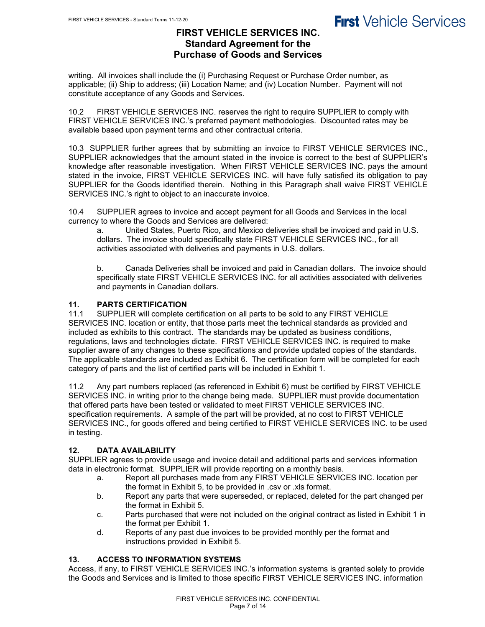## **FIRST VEHICLE SERVICES INC. Standard Agreement for the Purchase of Goods and Services**

writing. All invoices shall include the (i) Purchasing Request or Purchase Order number, as applicable; (ii) Ship to address; (iii) Location Name; and (iv) Location Number. Payment will not constitute acceptance of any Goods and Services.

10.2 FIRST VEHICLE SERVICES INC. reserves the right to require SUPPLIER to comply with FIRST VEHICLE SERVICES INC.'s preferred payment methodologies. Discounted rates may be available based upon payment terms and other contractual criteria.

10.3 SUPPLIER further agrees that by submitting an invoice to FIRST VEHICLE SERVICES INC., SUPPLIER acknowledges that the amount stated in the invoice is correct to the best of SUPPLIER's knowledge after reasonable investigation. When FIRST VEHICLE SERVICES INC. pays the amount stated in the invoice, FIRST VEHICLE SERVICES INC. will have fully satisfied its obligation to pay SUPPLIER for the Goods identified therein. Nothing in this Paragraph shall waive FIRST VEHICLE SERVICES INC.'s right to object to an inaccurate invoice.

10.4 SUPPLIER agrees to invoice and accept payment for all Goods and Services in the local currency to where the Goods and Services are delivered:

a. United States, Puerto Rico, and Mexico deliveries shall be invoiced and paid in U.S. dollars. The invoice should specifically state FIRST VEHICLE SERVICES INC., for all activities associated with deliveries and payments in U.S. dollars.

b. Canada Deliveries shall be invoiced and paid in Canadian dollars. The invoice should specifically state FIRST VEHICLE SERVICES INC. for all activities associated with deliveries and payments in Canadian dollars.

### **11. PARTS CERTIFICATION**

11.1 SUPPLIER will complete certification on all parts to be sold to any FIRST VEHICLE SERVICES INC. location or entity, that those parts meet the technical standards as provided and included as exhibits to this contract. The standards may be updated as business conditions, regulations, laws and technologies dictate. FIRST VEHICLE SERVICES INC. is required to make supplier aware of any changes to these specifications and provide updated copies of the standards. The applicable standards are included as Exhibit 6. The certification form will be completed for each category of parts and the list of certified parts will be included in Exhibit 1.

11.2 Any part numbers replaced (as referenced in Exhibit 6) must be certified by FIRST VEHICLE SERVICES INC. in writing prior to the change being made. SUPPLIER must provide documentation that offered parts have been tested or validated to meet FIRST VEHICLE SERVICES INC. specification requirements. A sample of the part will be provided, at no cost to FIRST VEHICLE SERVICES INC., for goods offered and being certified to FIRST VEHICLE SERVICES INC. to be used in testing.

### **12. DATA AVAILABILITY**

SUPPLIER agrees to provide usage and invoice detail and additional parts and services information data in electronic format. SUPPLIER will provide reporting on a monthly basis.

- a. Report all purchases made from any FIRST VEHICLE SERVICES INC. location per the format in Exhibit 5, to be provided in .csv or .xls format.
- b. Report any parts that were superseded, or replaced, deleted for the part changed per the format in Exhibit 5.
- c. Parts purchased that were not included on the original contract as listed in Exhibit 1 in the format per Exhibit 1.
- d. Reports of any past due invoices to be provided monthly per the format and instructions provided in Exhibit 5.

### **13. ACCESS TO INFORMATION SYSTEMS**

Access, if any, to FIRST VEHICLE SERVICES INC.'s information systems is granted solely to provide the Goods and Services and is limited to those specific FIRST VEHICLE SERVICES INC. information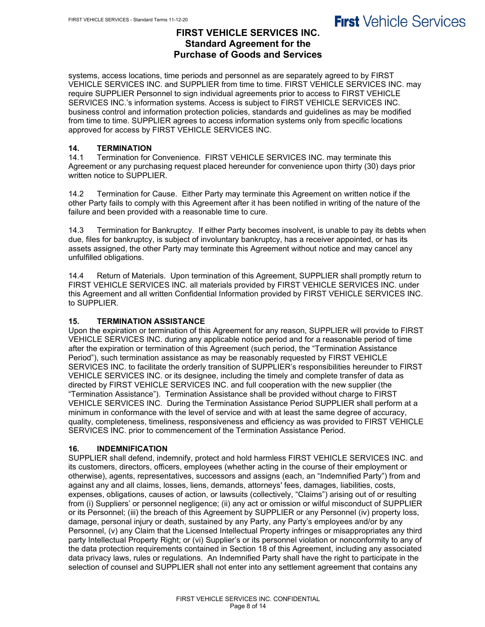## **FIRST VEHICLE SERVICES INC. Standard Agreement for the Purchase of Goods and Services**

systems, access locations, time periods and personnel as are separately agreed to by FIRST VEHICLE SERVICES INC. and SUPPLIER from time to time. FIRST VEHICLE SERVICES INC. may require SUPPLIER Personnel to sign individual agreements prior to access to FIRST VEHICLE SERVICES INC.'s information systems. Access is subject to FIRST VEHICLE SERVICES INC. business control and information protection policies, standards and guidelines as may be modified from time to time. SUPPLIER agrees to access information systems only from specific locations approved for access by FIRST VEHICLE SERVICES INC.

### **14. TERMINATION**

14.1 Termination for Convenience. FIRST VEHICLE SERVICES INC. may terminate this Agreement or any purchasing request placed hereunder for convenience upon thirty (30) days prior written notice to SUPPLIER.

14.2 Termination for Cause.Either Party may terminate this Agreement on written notice if the other Party fails to comply with this Agreement after it has been notified in writing of the nature of the failure and been provided with a reasonable time to cure.

14.3 Termination for Bankruptcy.If either Party becomes insolvent, is unable to pay its debts when due, files for bankruptcy, is subject of involuntary bankruptcy, has a receiver appointed, or has its assets assigned, the other Party may terminate this Agreement without notice and may cancel any unfulfilled obligations.

14.4 Return of Materials.Upon termination of this Agreement, SUPPLIER shall promptly return to FIRST VEHICLE SERVICES INC. all materials provided by FIRST VEHICLE SERVICES INC. under this Agreement and all written Confidential Information provided by FIRST VEHICLE SERVICES INC. to SUPPLIER.

### **15. TERMINATION ASSISTANCE**

Upon the expiration or termination of this Agreement for any reason, SUPPLIER will provide to FIRST VEHICLE SERVICES INC. during any applicable notice period and for a reasonable period of time after the expiration or termination of this Agreement (such period, the "Termination Assistance Period"), such termination assistance as may be reasonably requested by FIRST VEHICLE SERVICES INC. to facilitate the orderly transition of SUPPLIER's responsibilities hereunder to FIRST VEHICLE SERVICES INC. or its designee, including the timely and complete transfer of data as directed by FIRST VEHICLE SERVICES INC. and full cooperation with the new supplier (the "Termination Assistance"). Termination Assistance shall be provided without charge to FIRST VEHICLE SERVICES INC. During the Termination Assistance Period SUPPLIER shall perform at a minimum in conformance with the level of service and with at least the same degree of accuracy, quality, completeness, timeliness, responsiveness and efficiency as was provided to FIRST VEHICLE SERVICES INC. prior to commencement of the Termination Assistance Period.

### **16. INDEMNIFICATION**

SUPPLIER shall defend, indemnify, protect and hold harmless FIRST VEHICLE SERVICES INC. and its customers, directors, officers, employees (whether acting in the course of their employment or otherwise), agents, representatives, successors and assigns (each, an "Indemnified Party") from and against any and all claims, losses, liens, demands, attorneys' fees, damages, liabilities, costs, expenses, obligations, causes of action, or lawsuits (collectively, "Claims") arising out of or resulting from (i) Suppliers' or personnel negligence; (ii) any act or omission or wilful misconduct of SUPPLIER or its Personnel; (iii) the breach of this Agreement by SUPPLIER or any Personnel (iv) property loss, damage, personal injury or death, sustained by any Party, any Party's employees and/or by any Personnel, (v) any Claim that the Licensed Intellectual Property infringes or misappropriates any third party Intellectual Property Right; or (vi) Supplier's or its personnel violation or nonconformity to any of the data protection requirements contained in Section 18 of this Agreement, including any associated data privacy laws, rules or regulations. An Indemnified Party shall have the right to participate in the selection of counsel and SUPPLIER shall not enter into any settlement agreement that contains any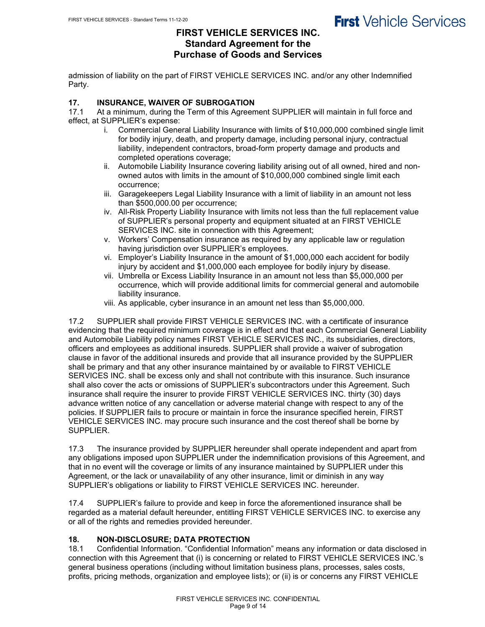## **FIRST VEHICLE SERVICES INC. Standard Agreement for the Purchase of Goods and Services**

admission of liability on the part of FIRST VEHICLE SERVICES INC. and/or any other Indemnified Party.

## **17. INSURANCE, WAIVER OF SUBROGATION**

At a minimum, during the Term of this Agreement SUPPLIER will maintain in full force and effect, at SUPPLIER's expense:

- i. Commercial General Liability Insurance with limits of \$10,000,000 combined single limit for bodily injury, death, and property damage, including personal injury, contractual liability, independent contractors, broad-form property damage and products and completed operations coverage;
- ii. Automobile Liability Insurance covering liability arising out of all owned, hired and nonowned autos with limits in the amount of \$10,000,000 combined single limit each occurrence;
- iii. Garagekeepers Legal Liability Insurance with a limit of liability in an amount not less than \$500,000.00 per occurrence;
- iv. All-Risk Property Liability Insurance with limits not less than the full replacement value of SUPPLIER's personal property and equipment situated at an FIRST VEHICLE SERVICES INC. site in connection with this Agreement;
- v. Workers' Compensation insurance as required by any applicable law or regulation having jurisdiction over SUPPLIER's employees.
- vi. Employer's Liability Insurance in the amount of \$1,000,000 each accident for bodily injury by accident and \$1,000,000 each employee for bodily injury by disease.
- vii. Umbrella or Excess Liability Insurance in an amount not less than \$5,000,000 per occurrence, which will provide additional limits for commercial general and automobile liability insurance.
- viii. As applicable, cyber insurance in an amount net less than \$5,000,000.

17.2 SUPPLIER shall provide FIRST VEHICLE SERVICES INC. with a certificate of insurance evidencing that the required minimum coverage is in effect and that each Commercial General Liability and Automobile Liability policy names FIRST VEHICLE SERVICES INC., its subsidiaries, directors, officers and employees as additional insureds. SUPPLIER shall provide a waiver of subrogation clause in favor of the additional insureds and provide that all insurance provided by the SUPPLIER shall be primary and that any other insurance maintained by or available to FIRST VEHICLE SERVICES INC. shall be excess only and shall not contribute with this insurance. Such insurance shall also cover the acts or omissions of SUPPLIER's subcontractors under this Agreement. Such insurance shall require the insurer to provide FIRST VEHICLE SERVICES INC. thirty (30) days advance written notice of any cancellation or adverse material change with respect to any of the policies. If SUPPLIER fails to procure or maintain in force the insurance specified herein, FIRST VEHICLE SERVICES INC. may procure such insurance and the cost thereof shall be borne by SUPPLIER.

17.3 The insurance provided by SUPPLIER hereunder shall operate independent and apart from any obligations imposed upon SUPPLIER under the indemnification provisions of this Agreement, and that in no event will the coverage or limits of any insurance maintained by SUPPLIER under this Agreement, or the lack or unavailability of any other insurance, limit or diminish in any way SUPPLIER's obligations or liability to FIRST VEHICLE SERVICES INC. hereunder.

17.4 SUPPLIER's failure to provide and keep in force the aforementioned insurance shall be regarded as a material default hereunder, entitling FIRST VEHICLE SERVICES INC. to exercise any or all of the rights and remedies provided hereunder.

## **18. NON-DISCLOSURE; DATA PROTECTION**

Confidential Information. "Confidential Information" means any information or data disclosed in connection with this Agreement that (i) is concerning or related to FIRST VEHICLE SERVICES INC.'s general business operations (including without limitation business plans, processes, sales costs, profits, pricing methods, organization and employee lists); or (ii) is or concerns any FIRST VEHICLE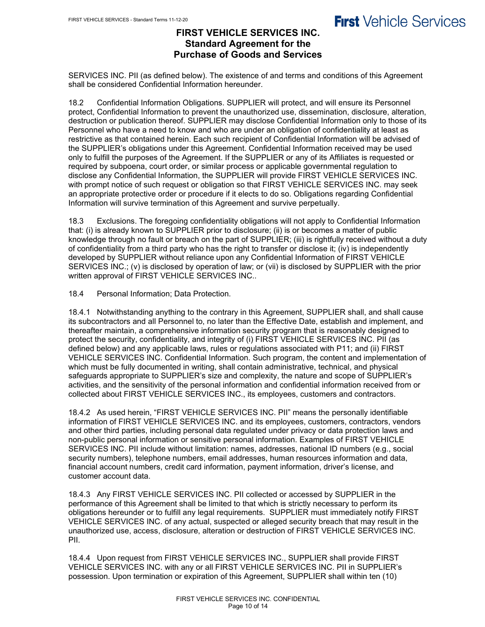## **FIRST VEHICLE SERVICES INC. Standard Agreement for the Purchase of Goods and Services**

SERVICES INC. PII (as defined below). The existence of and terms and conditions of this Agreement shall be considered Confidential Information hereunder.

18.2 Confidential Information Obligations. SUPPLIER will protect, and will ensure its Personnel protect, Confidential Information to prevent the unauthorized use, dissemination, disclosure, alteration, destruction or publication thereof. SUPPLIER may disclose Confidential Information only to those of its Personnel who have a need to know and who are under an obligation of confidentiality at least as restrictive as that contained herein. Each such recipient of Confidential Information will be advised of the SUPPLIER's obligations under this Agreement. Confidential Information received may be used only to fulfill the purposes of the Agreement. If the SUPPLIER or any of its Affiliates is requested or required by subpoena, court order, or similar process or applicable governmental regulation to disclose any Confidential Information, the SUPPLIER will provide FIRST VEHICLE SERVICES INC. with prompt notice of such request or obligation so that FIRST VEHICLE SERVICES INC. may seek an appropriate protective order or procedure if it elects to do so. Obligations regarding Confidential Information will survive termination of this Agreement and survive perpetually.

18.3 Exclusions. The foregoing confidentiality obligations will not apply to Confidential Information that: (i) is already known to SUPPLIER prior to disclosure; (ii) is or becomes a matter of public knowledge through no fault or breach on the part of SUPPLIER; (iii) is rightfully received without a duty of confidentiality from a third party who has the right to transfer or disclose it; (iv) is independently developed by SUPPLIER without reliance upon any Confidential Information of FIRST VEHICLE SERVICES INC.; (v) is disclosed by operation of law; or (vii) is disclosed by SUPPLIER with the prior written approval of FIRST VEHICLE SERVICES INC..

18.4 Personal Information; Data Protection.

18.4.1 Notwithstanding anything to the contrary in this Agreement, SUPPLIER shall, and shall cause its subcontractors and all Personnel to, no later than the Effective Date, establish and implement, and thereafter maintain, a comprehensive information security program that is reasonably designed to protect the security, confidentiality, and integrity of (i) FIRST VEHICLE SERVICES INC. PII (as defined below) and any applicable laws, rules or regulations associated with P11; and (ii) FIRST VEHICLE SERVICES INC. Confidential Information. Such program, the content and implementation of which must be fully documented in writing, shall contain administrative, technical, and physical safeguards appropriate to SUPPLIER's size and complexity, the nature and scope of SUPPLIER's activities, and the sensitivity of the personal information and confidential information received from or collected about FIRST VEHICLE SERVICES INC., its employees, customers and contractors.

18.4.2 As used herein, "FIRST VEHICLE SERVICES INC. PII" means the personally identifiable information of FIRST VEHICLE SERVICES INC. and its employees, customers, contractors, vendors and other third parties, including personal data regulated under privacy or data protection laws and non-public personal information or sensitive personal information. Examples of FIRST VEHICLE SERVICES INC. PII include without limitation: names, addresses, national ID numbers (e.g., social security numbers), telephone numbers, email addresses, human resources information and data, financial account numbers, credit card information, payment information, driver's license, and customer account data.

18.4.3 Any FIRST VEHICLE SERVICES INC. PII collected or accessed by SUPPLIER in the performance of this Agreement shall be limited to that which is strictly necessary to perform its obligations hereunder or to fulfill any legal requirements. SUPPLIER must immediately notify FIRST VEHICLE SERVICES INC. of any actual, suspected or alleged security breach that may result in the unauthorized use, access, disclosure, alteration or destruction of FIRST VEHICLE SERVICES INC. PII.

18.4.4 Upon request from FIRST VEHICLE SERVICES INC., SUPPLIER shall provide FIRST VEHICLE SERVICES INC. with any or all FIRST VEHICLE SERVICES INC. PII in SUPPLIER's possession. Upon termination or expiration of this Agreement, SUPPLIER shall within ten (10)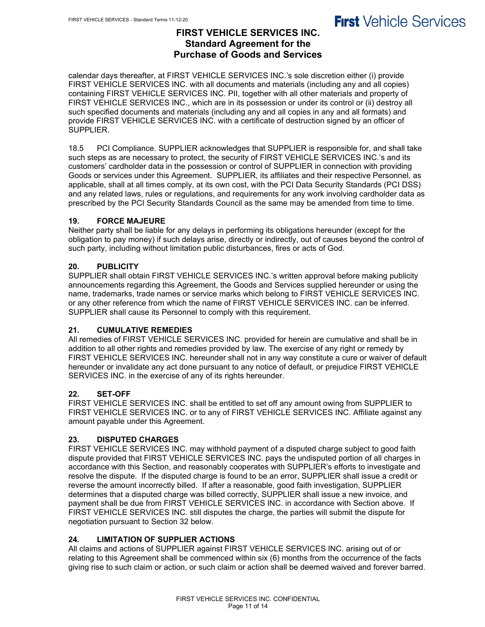## **FIRST VEHICLE SERVICES INC. Standard Agreement for the Purchase of Goods and Services**

calendar days thereafter, at FIRST VEHICLE SERVICES INC.'s sole discretion either (i) provide FIRST VEHICLE SERVICES INC. with all documents and materials (including any and all copies) containing FIRST VEHICLE SERVICES INC. PII, together with all other materials and property of FIRST VEHICLE SERVICES INC., which are in its possession or under its control or (ii) destroy all such specified documents and materials (including any and all copies in any and all formats) and provide FIRST VEHICLE SERVICES INC. with a certificate of destruction signed by an officer of SUPPLIER.

18.5 PCI Compliance. SUPPLIER acknowledges that SUPPLIER is responsible for, and shall take such steps as are necessary to protect, the security of FIRST VEHICLE SERVICES INC.'s and its customers' cardholder data in the possession or control of SUPPLIER in connection with providing Goods or services under this Agreement. SUPPLIER, its affiliates and their respective Personnel, as applicable, shall at all times comply, at its own cost, with the PCI Data Security Standards (PCI DSS) and any related laws, rules or regulations, and requirements for any work involving cardholder data as prescribed by the PCI Security Standards Council as the same may be amended from time to time.

### **19. FORCE MAJEURE**

Neither party shall be liable for any delays in performing its obligations hereunder (except for the obligation to pay money) if such delays arise, directly or indirectly, out of causes beyond the control of such party, including without limitation public disturbances, fires or acts of God.

### **20. PUBLICITY**

SUPPLIER shall obtain FIRST VEHICLE SERVICES INC.'s written approval before making publicity announcements regarding this Agreement, the Goods and Services supplied hereunder or using the name, trademarks, trade names or service marks which belong to FIRST VEHICLE SERVICES INC. or any other reference from which the name of FIRST VEHICLE SERVICES INC. can be inferred. SUPPLIER shall cause its Personnel to comply with this requirement.

### **21. CUMULATIVE REMEDIES**

All remedies of FIRST VEHICLE SERVICES INC. provided for herein are cumulative and shall be in addition to all other rights and remedies provided by law. The exercise of any right or remedy by FIRST VEHICLE SERVICES INC. hereunder shall not in any way constitute a cure or waiver of default hereunder or invalidate any act done pursuant to any notice of default, or prejudice FIRST VEHICLE SERVICES INC. in the exercise of any of its rights hereunder.

### **22. SET-OFF**

FIRST VEHICLE SERVICES INC. shall be entitled to set off any amount owing from SUPPLIER to FIRST VEHICLE SERVICES INC. or to any of FIRST VEHICLE SERVICES INC. Affiliate against any amount payable under this Agreement.

### **23. DISPUTED CHARGES**

FIRST VEHICLE SERVICES INC. may withhold payment of a disputed charge subject to good faith dispute provided that FIRST VEHICLE SERVICES INC. pays the undisputed portion of all charges in accordance with this Section, and reasonably cooperates with SUPPLIER's efforts to investigate and resolve the dispute. If the disputed charge is found to be an error, SUPPLIER shall issue a credit or reverse the amount incorrectly billed. If after a reasonable, good faith investigation, SUPPLIER determines that a disputed charge was billed correctly, SUPPLIER shall issue a new invoice, and payment shall be due from FIRST VEHICLE SERVICES INC. in accordance with Section above. If FIRST VEHICLE SERVICES INC. still disputes the charge, the parties will submit the dispute for negotiation pursuant to Section 32 below.

### **24. LIMITATION OF SUPPLIER ACTIONS**

All claims and actions of SUPPLIER against FIRST VEHICLE SERVICES INC. arising out of or relating to this Agreement shall be commenced within six (6) months from the occurrence of the facts giving rise to such claim or action, or such claim or action shall be deemed waived and forever barred.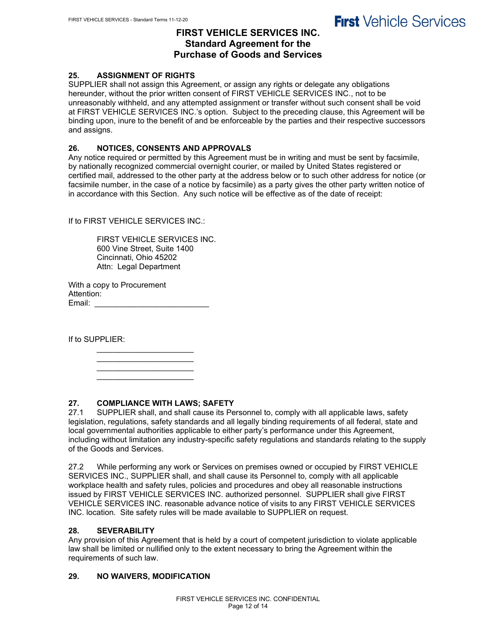## **FIRST VEHICLE SERVICES INC. Standard Agreement for the Purchase of Goods and Services**

### **25. ASSIGNMENT OF RIGHTS**

SUPPLIER shall not assign this Agreement, or assign any rights or delegate any obligations hereunder, without the prior written consent of FIRST VEHICLE SERVICES INC., not to be unreasonably withheld, and any attempted assignment or transfer without such consent shall be void at FIRST VEHICLE SERVICES INC.'s option. Subject to the preceding clause, this Agreement will be binding upon, inure to the benefit of and be enforceable by the parties and their respective successors and assigns.

### **26. NOTICES, CONSENTS AND APPROVALS**

Any notice required or permitted by this Agreement must be in writing and must be sent by facsimile, by nationally recognized commercial overnight courier, or mailed by United States registered or certified mail, addressed to the other party at the address below or to such other address for notice (or facsimile number, in the case of a notice by facsimile) as a party gives the other party written notice of in accordance with this Section. Any such notice will be effective as of the date of receipt:

If to FIRST VEHICLE SERVICES INC.:

FIRST VEHICLE SERVICES INC. 600 Vine Street, Suite 1400 Cincinnati, Ohio 45202 Attn: Legal Department

With a copy to Procurement Attention: Email: \_\_\_\_\_\_\_\_\_\_\_\_\_\_\_\_\_\_\_\_\_\_\_\_\_\_

If to SUPPLIER:

 $\mathcal{L}_\text{max}$  , which is a set of the set of the set of the set of the set of the set of the set of the set of the set of the set of the set of the set of the set of the set of the set of the set of the set of the set of \_\_\_\_\_\_\_\_\_\_\_\_\_\_\_\_\_\_\_\_\_\_ \_\_\_\_\_\_\_\_\_\_\_\_\_\_\_\_\_\_\_\_\_\_

 $\mathcal{L}_\text{max}$  , which is a set of the set of the set of the set of the set of the set of the set of the set of the set of the set of the set of the set of the set of the set of the set of the set of the set of the set of

### **27. COMPLIANCE WITH LAWS; SAFETY**

27.1 SUPPLIER shall, and shall cause its Personnel to, comply with all applicable laws, safety legislation, regulations, safety standards and all legally binding requirements of all federal, state and local governmental authorities applicable to either party's performance under this Agreement, including without limitation any industry-specific safety regulations and standards relating to the supply of the Goods and Services.

27.2 While performing any work or Services on premises owned or occupied by FIRST VEHICLE SERVICES INC., SUPPLIER shall, and shall cause its Personnel to, comply with all applicable workplace health and safety rules, policies and procedures and obey all reasonable instructions issued by FIRST VEHICLE SERVICES INC. authorized personnel. SUPPLIER shall give FIRST VEHICLE SERVICES INC. reasonable advance notice of visits to any FIRST VEHICLE SERVICES INC. location. Site safety rules will be made available to SUPPLIER on request.

#### **28. SEVERABILITY**

Any provision of this Agreement that is held by a court of competent jurisdiction to violate applicable law shall be limited or nullified only to the extent necessary to bring the Agreement within the requirements of such law.

### **29. NO WAIVERS, MODIFICATION**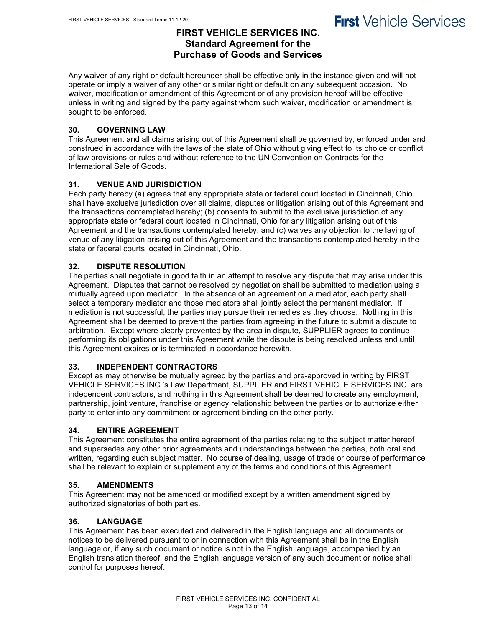## **FIRST VEHICLE SERVICES INC. Standard Agreement for the Purchase of Goods and Services**

Any waiver of any right or default hereunder shall be effective only in the instance given and will not operate or imply a waiver of any other or similar right or default on any subsequent occasion. No waiver, modification or amendment of this Agreement or of any provision hereof will be effective unless in writing and signed by the party against whom such waiver, modification or amendment is sought to be enforced.

## **30. GOVERNING LAW**

This Agreement and all claims arising out of this Agreement shall be governed by, enforced under and construed in accordance with the laws of the state of Ohio without giving effect to its choice or conflict of law provisions or rules and without reference to the UN Convention on Contracts for the International Sale of Goods.

## **31. VENUE AND JURISDICTION**

Each party hereby (a) agrees that any appropriate state or federal court located in Cincinnati, Ohio shall have exclusive jurisdiction over all claims, disputes or litigation arising out of this Agreement and the transactions contemplated hereby; (b) consents to submit to the exclusive jurisdiction of any appropriate state or federal court located in Cincinnati, Ohio for any litigation arising out of this Agreement and the transactions contemplated hereby; and (c) waives any objection to the laying of venue of any litigation arising out of this Agreement and the transactions contemplated hereby in the state or federal courts located in Cincinnati, Ohio.

### **32. DISPUTE RESOLUTION**

The parties shall negotiate in good faith in an attempt to resolve any dispute that may arise under this Agreement. Disputes that cannot be resolved by negotiation shall be submitted to mediation using a mutually agreed upon mediator. In the absence of an agreement on a mediator, each party shall select a temporary mediator and those mediators shall jointly select the permanent mediator. If mediation is not successful, the parties may pursue their remedies as they choose. Nothing in this Agreement shall be deemed to prevent the parties from agreeing in the future to submit a dispute to arbitration. Except where clearly prevented by the area in dispute, SUPPLIER agrees to continue performing its obligations under this Agreement while the dispute is being resolved unless and until this Agreement expires or is terminated in accordance herewith.

### **33. INDEPENDENT CONTRACTORS**

Except as may otherwise be mutually agreed by the parties and pre-approved in writing by FIRST VEHICLE SERVICES INC.'s Law Department, SUPPLIER and FIRST VEHICLE SERVICES INC. are independent contractors, and nothing in this Agreement shall be deemed to create any employment, partnership, joint venture, franchise or agency relationship between the parties or to authorize either party to enter into any commitment or agreement binding on the other party.

### **34. ENTIRE AGREEMENT**

This Agreement constitutes the entire agreement of the parties relating to the subject matter hereof and supersedes any other prior agreements and understandings between the parties, both oral and written, regarding such subject matter. No course of dealing, usage of trade or course of performance shall be relevant to explain or supplement any of the terms and conditions of this Agreement.

### **35. AMENDMENTS**

This Agreement may not be amended or modified except by a written amendment signed by authorized signatories of both parties.

### **36. LANGUAGE**

This Agreement has been executed and delivered in the English language and all documents or notices to be delivered pursuant to or in connection with this Agreement shall be in the English language or, if any such document or notice is not in the English language, accompanied by an English translation thereof, and the English language version of any such document or notice shall control for purposes hereof.